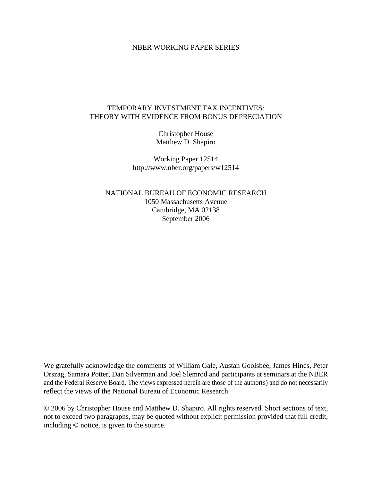### NBER WORKING PAPER SERIES

# TEMPORARY INVESTMENT TAX INCENTIVES: THEORY WITH EVIDENCE FROM BONUS DEPRECIATION

Christopher House Matthew D. Shapiro

Working Paper 12514 http://www.nber.org/papers/w12514

NATIONAL BUREAU OF ECONOMIC RESEARCH 1050 Massachusetts Avenue Cambridge, MA 02138 September 2006

We gratefully acknowledge the comments of William Gale, Austan Goolsbee, James Hines, Peter Orszag, Samara Potter, Dan Silverman and Joel Slemrod and participants at seminars at the NBER and the Federal Reserve Board. The views expressed herein are those of the author(s) and do not necessarily reflect the views of the National Bureau of Economic Research.

© 2006 by Christopher House and Matthew D. Shapiro. All rights reserved. Short sections of text, not to exceed two paragraphs, may be quoted without explicit permission provided that full credit, including © notice, is given to the source.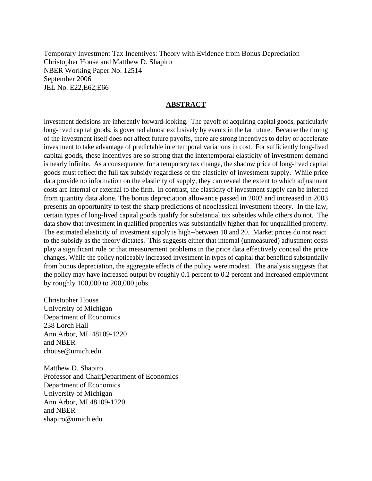Temporary Investment Tax Incentives: Theory with Evidence from Bonus Depreciation Christopher House and Matthew D. Shapiro NBER Working Paper No. 12514 September 2006 JEL No. E22,E62,E66

## **ABSTRACT**

Investment decisions are inherently forward-looking. The payoff of acquiring capital goods, particularly long-lived capital goods, is governed almost exclusively by events in the far future. Because the timing of the investment itself does not affect future payoffs, there are strong incentives to delay or accelerate investment to take advantage of predictable intertemporal variations in cost. For sufficiently long-lived capital goods, these incentives are so strong that the intertemporal elasticity of investment demand is nearly infinite. As a consequence, for a temporary tax change, the shadow price of long-lived capital goods must reflect the full tax subsidy regardless of the elasticity of investment supply. While price data provide no information on the elasticity of supply, they can reveal the extent to which adjustment costs are internal or external to the firm. In contrast, the elasticity of investment supply can be inferred from quantity data alone. The bonus depreciation allowance passed in 2002 and increased in 2003 presents an opportunity to test the sharp predictions of neoclassical investment theory. In the law, certain types of long-lived capital goods qualify for substantial tax subsides while others do not. The data show that investment in qualified properties was substantially higher than for unqualified property. The estimated elasticity of investment supply is high--between 10 and 20. Market prices do not react to the subsidy as the theory dictates. This suggests either that internal (unmeasured) adjustment costs play a significant role or that measurement problems in the price data effectively conceal the price changes. While the policy noticeably increased investment in types of capital that benefited substantially from bonus depreciation, the aggregate effects of the policy were modest. The analysis suggests that the policy may have increased output by roughly 0.1 percent to 0.2 percent and increased employment by roughly 100,000 to 200,000 jobs.

Christopher House University of Michigan Department of Economics 238 Lorch Hall Ann Arbor, MI 48109-1220 and NBER chouse@umich.edu

Matthew D. Shapiro Professor and Chair Department of Economics Department of Economics University of Michigan Ann Arbor, MI 48109-1220 and NBER shapiro@umich.edu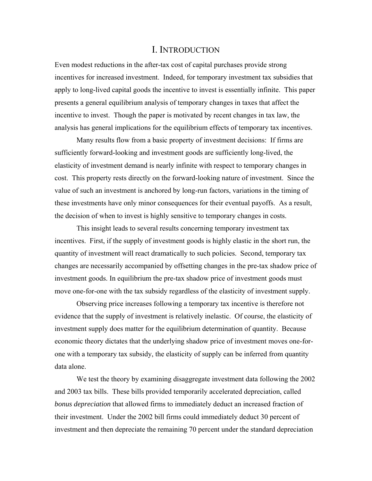# I. INTRODUCTION

Even modest reductions in the after-tax cost of capital purchases provide strong incentives for increased investment. Indeed, for temporary investment tax subsidies that apply to long-lived capital goods the incentive to invest is essentially infinite. This paper presents a general equilibrium analysis of temporary changes in taxes that affect the incentive to invest. Though the paper is motivated by recent changes in tax law, the analysis has general implications for the equilibrium effects of temporary tax incentives.

Many results flow from a basic property of investment decisions: If firms are sufficiently forward-looking and investment goods are sufficiently long-lived, the elasticity of investment demand is nearly infinite with respect to temporary changes in cost. This property rests directly on the forward-looking nature of investment. Since the value of such an investment is anchored by long-run factors, variations in the timing of these investments have only minor consequences for their eventual payoffs. As a result, the decision of when to invest is highly sensitive to temporary changes in costs.

This insight leads to several results concerning temporary investment tax incentives. First, if the supply of investment goods is highly elastic in the short run, the quantity of investment will react dramatically to such policies. Second, temporary tax changes are necessarily accompanied by offsetting changes in the pre-tax shadow price of investment goods. In equilibrium the pre-tax shadow price of investment goods must move one-for-one with the tax subsidy regardless of the elasticity of investment supply.

Observing price increases following a temporary tax incentive is therefore not evidence that the supply of investment is relatively inelastic. Of course, the elasticity of investment supply does matter for the equilibrium determination of quantity. Because economic theory dictates that the underlying shadow price of investment moves one-forone with a temporary tax subsidy, the elasticity of supply can be inferred from quantity data alone.

We test the theory by examining disaggregate investment data following the 2002 and 2003 tax bills. These bills provided temporarily accelerated depreciation, called *bonus depreciation* that allowed firms to immediately deduct an increased fraction of their investment. Under the 2002 bill firms could immediately deduct 30 percent of investment and then depreciate the remaining 70 percent under the standard depreciation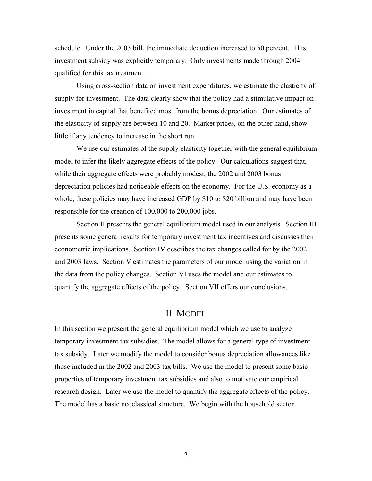schedule. Under the 2003 bill, the immediate deduction increased to 50 percent. This investment subsidy was explicitly temporary. Only investments made through 2004 qualified for this tax treatment.

Using cross-section data on investment expenditures, we estimate the elasticity of supply for investment. The data clearly show that the policy had a stimulative impact on investment in capital that benefited most from the bonus depreciation. Our estimates of the elasticity of supply are between 10 and 20. Market prices, on the other hand, show little if any tendency to increase in the short run.

We use our estimates of the supply elasticity together with the general equilibrium model to infer the likely aggregate effects of the policy. Our calculations suggest that, while their aggregate effects were probably modest, the 2002 and 2003 bonus depreciation policies had noticeable effects on the economy. For the U.S. economy as a whole, these policies may have increased GDP by \$10 to \$20 billion and may have been responsible for the creation of 100,000 to 200,000 jobs.

Section II presents the general equilibrium model used in our analysis. Section III presents some general results for temporary investment tax incentives and discusses their econometric implications. Section IV describes the tax changes called for by the 2002 and 2003 laws. Section V estimates the parameters of our model using the variation in the data from the policy changes. Section VI uses the model and our estimates to quantify the aggregate effects of the policy. Section VII offers our conclusions.

# II. MODEL

In this section we present the general equilibrium model which we use to analyze temporary investment tax subsidies. The model allows for a general type of investment tax subsidy. Later we modify the model to consider bonus depreciation allowances like those included in the 2002 and 2003 tax bills. We use the model to present some basic properties of temporary investment tax subsidies and also to motivate our empirical research design. Later we use the model to quantify the aggregate effects of the policy. The model has a basic neoclassical structure. We begin with the household sector.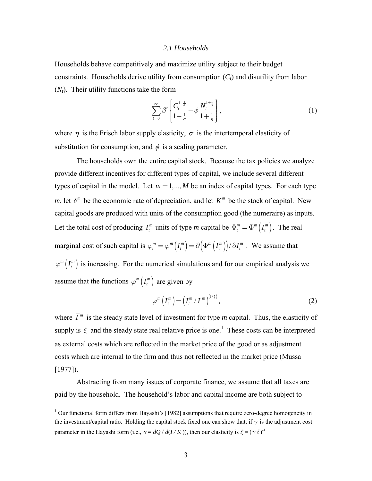#### *2.1 Households*

Households behave competitively and maximize utility subject to their budget constraints. Households derive utility from consumption  $(C<sub>t</sub>)$  and disutility from labor  $(N_t)$ . Their utility functions take the form

$$
\sum_{t=0}^{\infty} \beta^t \left\{ \frac{C_t^{1-\frac{1}{\sigma}}}{1-\frac{1}{\sigma}} - \phi \frac{N_t^{1+\frac{1}{\eta}}}{1+\frac{1}{\eta}} \right\},\tag{1}
$$

where  $\eta$  is the Frisch labor supply elasticity,  $\sigma$  is the intertemporal elasticity of substitution for consumption, and  $\phi$  is a scaling parameter.

The households own the entire capital stock. Because the tax policies we analyze provide different incentives for different types of capital, we include several different types of capital in the model. Let  $m = 1, ..., M$  be an index of capital types. For each type *m*, let  $\delta^m$  be the economic rate of depreciation, and let  $K^m$  be the stock of capital. New capital goods are produced with units of the consumption good (the numeraire) as inputs. Let the total cost of producing  $I_t^m$  units of type *m* capital be  $\Phi_t^m = \Phi^m(I_t^m)$ . The real marginal cost of such capital is  $\varphi_t^m = \varphi^m(I_t^m) = \partial (\Phi^m(I_t^m))/\partial I_t^m$ . We assume that  $\varphi^{m}(I_{t}^{m})$  is increasing. For the numerical simulations and for our empirical analysis we assume that the functions  $\varphi^m(I_i^m)$  are given by

$$
\varphi^{m}\left(\boldsymbol{I}_{t}^{m}\right) = \left(\boldsymbol{I}_{t}^{m} / \overline{\boldsymbol{I}}^{m}\right)^{\left(1/\xi\right)},\tag{2}
$$

where  $\overline{I}^m$  is the steady state level of investment for type *m* capital. Thus, the elasticity of supply is  $\xi$  and the steady state real relative price is one.<sup>1</sup> These costs can be interpreted as external costs which are reflected in the market price of the good or as adjustment costs which are internal to the firm and thus not reflected in the market price (Mussa [1977]).

Abstracting from many issues of corporate finance, we assume that all taxes are paid by the household. The household's labor and capital income are both subject to

 1 Our functional form differs from Hayashi's [1982] assumptions that require zero-degree homogeneity in the investment/capital ratio. Holding the capital stock fixed one can show that, if  $\gamma$  is the adjustment cost parameter in the Hayashi form (i.e.,  $\gamma = dQ / d(I/K)$ ), then our elasticity is  $\xi = (\gamma \delta)^{-1}$ .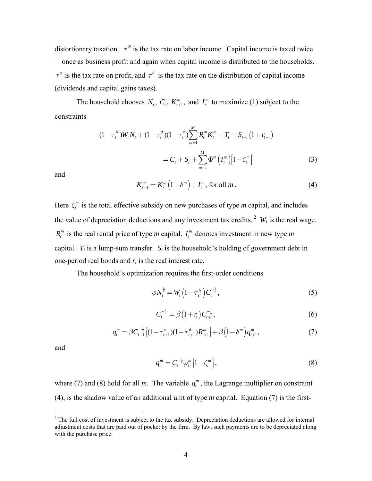distortionary taxation.  $\tau^N$  is the tax rate on labor income. Capital income is taxed twice —once as business profit and again when capital income is distributed to the households.  $\tau^{\pi}$  is the tax rate on profit, and  $\tau^d$  is the tax rate on the distribution of capital income (dividends and capital gains taxes).

The household chooses  $N_t$ ,  $C_t$ ,  $K_{t+1}^m$ , and  $I_t^m$  to maximize (1) subject to the constraints

$$
(1 - \tau_t^N)W_t N_t + (1 - \tau_t^d)(1 - \tau_t^{\pi}) \sum_{m=1}^M R_t^m K_t^m + T_t + S_{t-1} (1 + r_{t-1})
$$
  
= 
$$
C_t + S_t + \sum_{m=1}^M \Phi^m \left( I_t^m \right) [1 - \zeta_t^m]
$$
 (3)

and

$$
K_{t+1}^{m} = K_{t}^{m} (1 - \delta^{m}) + I_{t}^{m}, \text{ for all } m.
$$
 (4)

Here  $\zeta_i^m$  is the total effective subsidy on new purchases of type *m* capital, and includes the value of depreciation deductions and any investment tax credits.<sup>2</sup>  $W_t$  is the real wage.  $R_t^m$  is the real rental price of type *m* capital.  $I_t^m$  denotes investment in new type *m* capital.  $T_t$  is a lump-sum transfer.  $S_t$  is the household's holding of government debt in one-period real bonds and  $r_t$  is the real interest rate.

The household's optimization requires the first-order conditions

$$
\phi N_t^{\frac{1}{\eta}} = W_t \left( 1 - \tau_t^N \right) C_t^{-\frac{1}{\sigma}}, \tag{5}
$$

$$
C_t^{-\frac{1}{\sigma}} = \beta \left( 1 + r_t \right) C_{t+1}^{-\frac{1}{\sigma}}, \tag{6}
$$

$$
q_t^m = \beta C_{t+1}^{-\frac{1}{\sigma}} \left[ (1 - \tau_{t+1}^{\pi}) (1 - \tau_{t+1}^d) R_{t+1}^m \right] + \beta \left( 1 - \delta^m \right) q_{t+1}^m, \tag{7}
$$

and

1

$$
q_t^m = C_t^{-\frac{1}{\sigma}} \varphi_t^m \left[ 1 - \zeta_t^m \right], \tag{8}
$$

where (7) and (8) hold for all *m*. The variable  $q_t^m$ , the Lagrange multiplier on constraint (4), is the shadow value of an additional unit of type *m* capital. Equation (7) is the first-

 $2^2$  The full cost of investment is subject to the tax subsidy. Depreciation deductions are allowed for internal adjustment costs that are paid out of pocket by the firm. By law, such payments are to be depreciated along with the purchase price.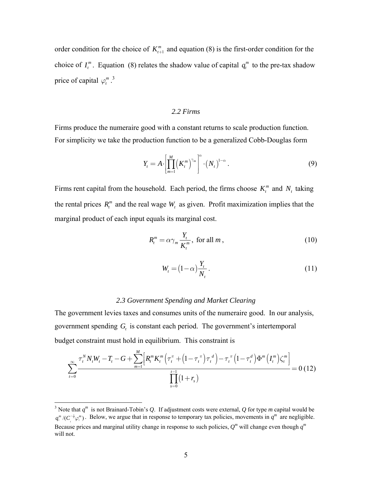order condition for the choice of  $K_{t+1}^m$  and equation (8) is the first-order condition for the choice of  $I_t^m$ . Equation (8) relates the shadow value of capital  $q_t^m$  to the pre-tax shadow price of capital  $\varphi_t^m$ .<sup>3</sup>

## *2.2 Firms*

Firms produce the numeraire good with a constant returns to scale production function. For simplicity we take the production function to be a generalized Cobb-Douglas form

$$
Y_t = A \cdot \left[ \prod_{m=1}^M \left( K_t^m \right)^{\gamma_m} \right]^{\alpha} \cdot \left( N_t \right)^{1-\alpha} . \tag{9}
$$

Firms rent capital from the household. Each period, the firms choose  $K_t^m$  and  $N_t$  taking the rental prices  $R_t^m$  and the real wage  $W_t$  as given. Profit maximization implies that the marginal product of each input equals its marginal cost.

$$
R_t^m = \alpha \gamma_m \frac{Y_t}{K_t^m}, \text{ for all } m,
$$
\n(10)

$$
W_t = \left(1 - \alpha\right) \frac{Y_t}{N_t} \,. \tag{11}
$$

### *2.3 Government Spending and Market Clearing*

The government levies taxes and consumes units of the numeraire good. In our analysis, government spending  $G_t$  is constant each period. The government's intertemporal budget constraint must hold in equilibrium. This constraint is

$$
\sum_{t=0}^{\infty} \frac{\tau_t^N N_t W_t - T_t - G + \sum_{m=1}^M \left[ R_t^m K_t^m \left( \tau_t^{\pi} + \left( 1 - \tau_t^{\pi} \right) \tau_t^{\{d\}} - \tau_t^{\pi} \left( 1 - \tau_t^{\{d\}} \right) \Phi^m \left( I_t^m \right) \zeta_t^m \right]}{\prod_{s=0}^{t-1} (1 + r_s)} = 0 \tag{12}
$$

<sup>&</sup>lt;sup>3</sup> Note that  $q^m$  is not Brainard-Tobin's *Q*. If adjustment costs were external, *Q* for type *m* capital would be 1.1 and 1.1 and 1.1 and 1.1 and 1.1 and 1.1 and 1.1 and 1.1 and 1.1 and 1.1 and 1.1 and 1.1 and 1.1 and  $q_i^m/(C_i^{-\frac{1}{\sigma}}\varphi_i^m)$ . Below, we argue that in response to temporary tax policies, movements in  $q^m$  are negligible. Because prices and marginal utility change in response to such policies, *Qm* will change even though *q<sup>m</sup>* will not.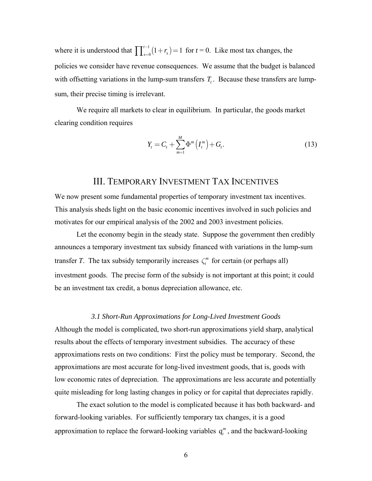where it is understood that  $\prod_{s=0}^{t-1} (1+r_s) = 1$  for  $t = 0$ . Like most tax changes, the policies we consider have revenue consequences. We assume that the budget is balanced with offsetting variations in the lump-sum transfers  $T<sub>t</sub>$ . Because these transfers are lumpsum, their precise timing is irrelevant.

We require all markets to clear in equilibrium. In particular, the goods market clearing condition requires

$$
Y_{t} = C_{t} + \sum_{m=1}^{M} \Phi^{m} (I_{t}^{m}) + G_{t}.
$$
 (13)

# III. TEMPORARY INVESTMENT TAX INCENTIVES

We now present some fundamental properties of temporary investment tax incentives. This analysis sheds light on the basic economic incentives involved in such policies and motivates for our empirical analysis of the 2002 and 2003 investment policies.

Let the economy begin in the steady state. Suppose the government then credibly announces a temporary investment tax subsidy financed with variations in the lump-sum transfer *T*. The tax subsidy temporarily increases  $\zeta_i^m$  for certain (or perhaps all) investment goods. The precise form of the subsidy is not important at this point; it could be an investment tax credit, a bonus depreciation allowance, etc.

#### *3.1 Short-Run Approximations for Long-Lived Investment Goods*

Although the model is complicated, two short-run approximations yield sharp, analytical results about the effects of temporary investment subsidies. The accuracy of these approximations rests on two conditions: First the policy must be temporary. Second, the approximations are most accurate for long-lived investment goods, that is, goods with low economic rates of depreciation. The approximations are less accurate and potentially quite misleading for long lasting changes in policy or for capital that depreciates rapidly.

The exact solution to the model is complicated because it has both backward- and forward-looking variables. For sufficiently temporary tax changes, it is a good approximation to replace the forward-looking variables  $q_i^m$ , and the backward-looking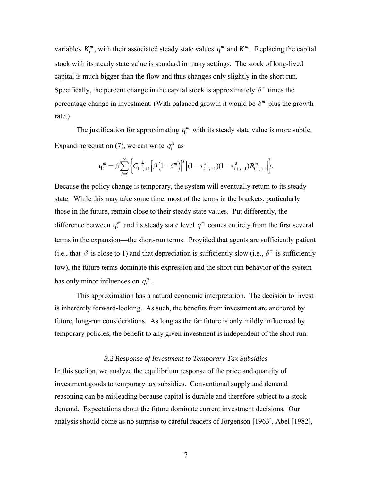variables  $K_t^m$ , with their associated steady state values  $q^m$  and  $K^m$ . Replacing the capital stock with its steady state value is standard in many settings. The stock of long-lived capital is much bigger than the flow and thus changes only slightly in the short run. Specifically, the percent change in the capital stock is approximately  $\delta^m$  times the percentage change in investment. (With balanced growth it would be  $\delta^m$  plus the growth rate.)

The justification for approximating  $q_t^m$  with its steady state value is more subtle. Expanding equation (7), we can write  $q_t^m$  as

$$
q_t^m = \beta \sum_{j=0}^{\infty} \left\{ C_{t+j+1}^{-\frac{1}{\sigma}} \left[ \beta \left( 1 - \delta^m \right) \right]^j \left[ (1 - \tau_{t+j+1}^{\pi}) (1 - \tau_{t+j+1}^d) R_{t+j+1}^m \right] \right\}.
$$

Because the policy change is temporary, the system will eventually return to its steady state. While this may take some time, most of the terms in the brackets, particularly those in the future, remain close to their steady state values. Put differently, the difference between  $q_i^m$  and its steady state level  $q^m$  comes entirely from the first several terms in the expansion—the short-run terms. Provided that agents are sufficiently patient (i.e., that  $\beta$  is close to 1) and that depreciation is sufficiently slow (i.e.,  $\delta^m$  is sufficiently low), the future terms dominate this expression and the short-run behavior of the system has only minor influences on  $q_t^m$ .

This approximation has a natural economic interpretation. The decision to invest is inherently forward-looking. As such, the benefits from investment are anchored by future, long-run considerations. As long as the far future is only mildly influenced by temporary policies, the benefit to any given investment is independent of the short run.

## *3.2 Response of Investment to Temporary Tax Subsidies*

In this section, we analyze the equilibrium response of the price and quantity of investment goods to temporary tax subsidies. Conventional supply and demand reasoning can be misleading because capital is durable and therefore subject to a stock demand. Expectations about the future dominate current investment decisions. Our analysis should come as no surprise to careful readers of Jorgenson [1963], Abel [1982],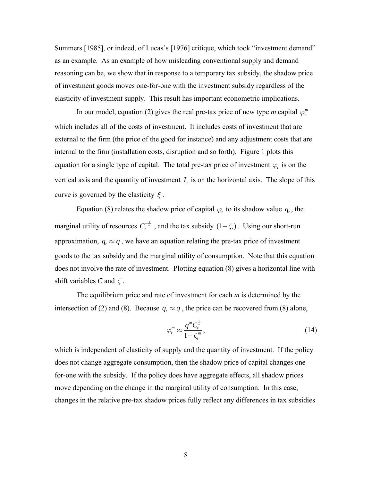Summers [1985], or indeed, of Lucas's [1976] critique, which took "investment demand" as an example. As an example of how misleading conventional supply and demand reasoning can be, we show that in response to a temporary tax subsidy, the shadow price of investment goods moves one-for-one with the investment subsidy regardless of the elasticity of investment supply. This result has important econometric implications.

In our model, equation (2) gives the real pre-tax price of new type *m* capital  $\varphi_t^m$ which includes all of the costs of investment. It includes costs of investment that are external to the firm (the price of the good for instance) and any adjustment costs that are internal to the firm (installation costs, disruption and so forth). Figure 1 plots this equation for a single type of capital. The total pre-tax price of investment  $\varphi$ <sup>*t*</sup> is on the vertical axis and the quantity of investment  $I_t$  is on the horizontal axis. The slope of this curve is governed by the elasticity *ξ* .

Equation (8) relates the shadow price of capital  $\varphi_t$  to its shadow value  $q_t$ , the marginal utility of resources  $C_t^{-\frac{1}{\sigma}}$ , and the tax subsidy  $(1-\zeta_t)$ . Using our short-run approximation,  $q_t \approx q$ , we have an equation relating the pre-tax price of investment goods to the tax subsidy and the marginal utility of consumption. Note that this equation does not involve the rate of investment. Plotting equation (8) gives a horizontal line with shift variables *C* and  $\zeta$ .

The equilibrium price and rate of investment for each *m* is determined by the intersection of (2) and (8). Because  $q_t \approx q$ , the price can be recovered from (8) alone,

$$
\varphi_t^m \approx \frac{q^m C_t^{\frac{1}{\sigma}}}{1 - \zeta_t^m},\tag{14}
$$

which is independent of elasticity of supply and the quantity of investment. If the policy does not change aggregate consumption, then the shadow price of capital changes onefor-one with the subsidy. If the policy does have aggregate effects, all shadow prices move depending on the change in the marginal utility of consumption. In this case, changes in the relative pre-tax shadow prices fully reflect any differences in tax subsidies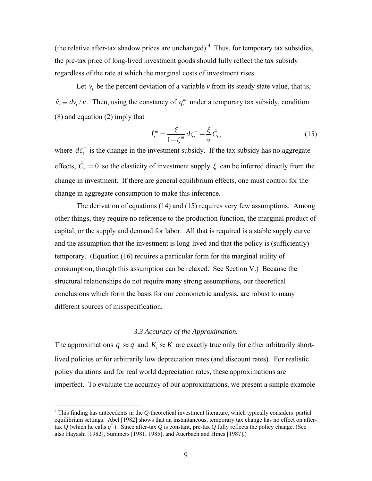(the relative after-tax shadow prices are unchanged).<sup>4</sup> Thus, for temporary tax subsidies, the pre-tax price of long-lived investment goods should fully reflect the tax subsidy regardless of the rate at which the marginal costs of investment rises.

Let  $\tilde{v}_t$  be the percent deviation of a variable  $v$  from its steady state value, that is,  $\tilde{v}_t \equiv dv_t / v$ . Then, using the constancy of  $q_t^m$  under a temporary tax subsidy, condition (8) and equation (2) imply that

$$
\tilde{I}_t^m = \frac{\xi}{1 - \zeta^m} d\zeta_t^m + \frac{\xi}{\sigma} \tilde{C}_t,
$$
\n(15)

where  $d\zeta_t^m$  is the change in the investment subsidy. If the tax subsidy has no aggregate effects,  $\tilde{C}_t = 0$  so the elasticity of investment supply  $\xi$  can be inferred directly from the change in investment. If there are general equilibrium effects, one must control for the change in aggregate consumption to make this inference.

The derivation of equations (14) and (15) requires very few assumptions. Among other things, they require no reference to the production function, the marginal product of capital, or the supply and demand for labor. All that is required is a stable supply curve and the assumption that the investment is long-lived and that the policy is (sufficiently) temporary. (Equation (16) requires a particular form for the marginal utility of consumption, though this assumption can be relaxed. See Section V.) Because the structural relationships do not require many strong assumptions, our theoretical conclusions which form the basis for our econometric analysis, are robust to many different sources of misspecification.

#### *3.3 Accuracy of the Approximation.*

The approximations  $q_t \approx q$  and  $K_t \approx K$  are exactly true only for either arbitrarily shortlived policies or for arbitrarily low depreciation rates (and discount rates). For realistic policy durations and for real world depreciation rates, these approximations are imperfect. To evaluate the accuracy of our approximations, we present a simple example

 4 This finding has antecedents in the *Q-*theoretical investment literature, which typically considers partial equilibrium settings. Abel [1982] shows that an instantaneous, temporary tax change has no effect on aftertax  $Q$  (which he calls  $q^*$ ). Since after-tax  $Q$  is constant, pre-tax  $Q$  fully reflects the policy change. (See also Hayashi [1982], Summers [1981, 1985], and Auerbach and Hines [1987].)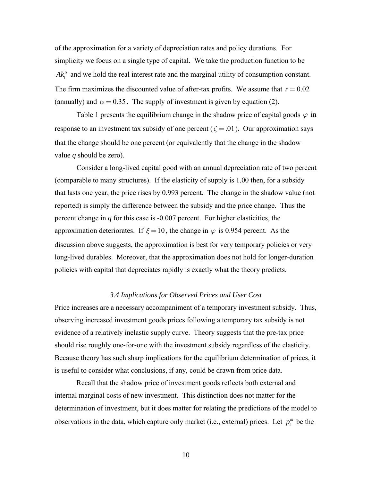of the approximation for a variety of depreciation rates and policy durations. For simplicity we focus on a single type of capital. We take the production function to be  $Ak<sub>t</sub><sup>\alpha</sup>$  and we hold the real interest rate and the marginal utility of consumption constant. The firm maximizes the discounted value of after-tax profits. We assume that  $r = 0.02$ (annually) and  $\alpha = 0.35$ . The supply of investment is given by equation (2).

Table 1 presents the equilibrium change in the shadow price of capital goods  $\varphi$  in response to an investment tax subsidy of one percent ( $\zeta = .01$ ). Our approximation says that the change should be one percent (or equivalently that the change in the shadow value *q* should be zero).

 Consider a long-lived capital good with an annual depreciation rate of two percent (comparable to many structures). If the elasticity of supply is 1.00 then, for a subsidy that lasts one year, the price rises by 0.993 percent. The change in the shadow value (not reported) is simply the difference between the subsidy and the price change. Thus the percent change in *q* for this case is -0.007 percent. For higher elasticities, the approximation deteriorates. If  $\xi = 10$ , the change in  $\varphi$  is 0.954 percent. As the discussion above suggests, the approximation is best for very temporary policies or very long-lived durables. Moreover, that the approximation does not hold for longer-duration policies with capital that depreciates rapidly is exactly what the theory predicts.

### *3.4 Implications for Observed Prices and User Cost*

Price increases are a necessary accompaniment of a temporary investment subsidy. Thus, observing increased investment goods prices following a temporary tax subsidy is not evidence of a relatively inelastic supply curve. Theory suggests that the pre-tax price should rise roughly one-for-one with the investment subsidy regardless of the elasticity. Because theory has such sharp implications for the equilibrium determination of prices, it is useful to consider what conclusions, if any, could be drawn from price data.

Recall that the shadow price of investment goods reflects both external and internal marginal costs of new investment. This distinction does not matter for the determination of investment, but it does matter for relating the predictions of the model to observations in the data, which capture only market (i.e., external) prices. Let  $p_t^m$  be the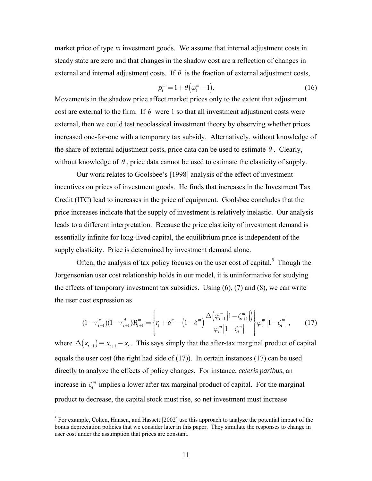market price of type *m* investment goods. We assume that internal adjustment costs in steady state are zero and that changes in the shadow cost are a reflection of changes in external and internal adjustment costs. If  $\theta$  is the fraction of external adjustment costs,

$$
p_t^m = 1 + \theta \left( \varphi_t^m - 1 \right). \tag{16}
$$

Movements in the shadow price affect market prices only to the extent that adjustment cost are external to the firm. If  $\theta$  were 1 so that all investment adjustment costs were external, then we could test neoclassical investment theory by observing whether prices increased one-for-one with a temporary tax subsidy. Alternatively, without knowledge of the share of external adjustment costs, price data can be used to estimate  $\theta$ . Clearly, without knowledge of  $\theta$ , price data cannot be used to estimate the elasticity of supply.

 Our work relates to Goolsbee's [1998] analysis of the effect of investment incentives on prices of investment goods. He finds that increases in the Investment Tax Credit (ITC) lead to increases in the price of equipment. Goolsbee concludes that the price increases indicate that the supply of investment is relatively inelastic. Our analysis leads to a different interpretation. Because the price elasticity of investment demand is essentially infinite for long-lived capital, the equilibrium price is independent of the supply elasticity. Price is determined by investment demand alone.

Often, the analysis of tax policy focuses on the user cost of capital.<sup>5</sup> Though the Jorgensonian user cost relationship holds in our model, it is uninformative for studying the effects of temporary investment tax subsidies. Using (6), (7) and (8), we can write the user cost expression as

$$
(1 - \tau_{t+1}^{\pi})(1 - \tau_{t+1}^{d})R_{t+1}^{m} = \left\{ r_{t} + \delta^{m} - (1 - \delta^{m}) \frac{\Delta(\varphi_{t+1}^{m}[1 - \zeta_{t+1}^{m}])}{\varphi_{t}^{m}[1 - \zeta_{t}^{m}]} \right\} \varphi_{t}^{m}[1 - \zeta_{t}^{m}], \quad (17)
$$

where  $\Delta ( x_{t+1} ) \equiv x_{t+1} - x_t$ . This says simply that the after-tax marginal product of capital equals the user cost (the right had side of  $(17)$ ). In certain instances  $(17)$  can be used directly to analyze the effects of policy changes. For instance, *ceteris paribus*, an increase in  $\zeta_t^m$  implies a lower after tax marginal product of capital. For the marginal product to decrease, the capital stock must rise, so net investment must increase

 $<sup>5</sup>$  For example, Cohen, Hansen, and Hassett [2002] use this approach to analyze the potential impact of the</sup> bonus depreciation policies that we consider later in this paper. They simulate the responses to change in user cost under the assumption that prices are constant.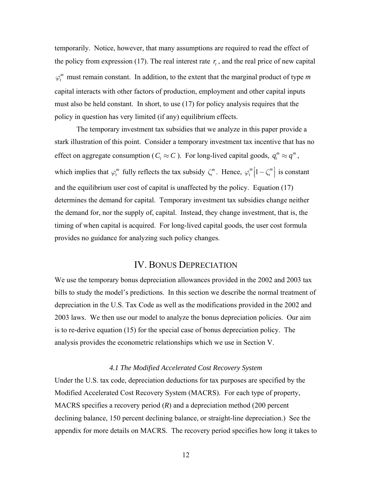temporarily. Notice, however, that many assumptions are required to read the effect of the policy from expression (17). The real interest rate  $r<sub>t</sub>$ , and the real price of new capital  $\varphi_t^m$  must remain constant. In addition, to the extent that the marginal product of type *m* capital interacts with other factors of production, employment and other capital inputs must also be held constant. In short, to use (17) for policy analysis requires that the policy in question has very limited (if any) equilibrium effects.

The temporary investment tax subsidies that we analyze in this paper provide a stark illustration of this point. Consider a temporary investment tax incentive that has no effect on aggregate consumption ( $C_t \approx C$ ). For long-lived capital goods,  $q_t^m \approx q^m$ , which implies that  $\varphi_t^m$  fully reflects the tax subsidy  $\zeta_t^m$ . Hence,  $\varphi_t^m \left[1 - \zeta_t^m\right]$  is constant and the equilibrium user cost of capital is unaffected by the policy. Equation (17) determines the demand for capital. Temporary investment tax subsidies change neither the demand for, nor the supply of, capital. Instead, they change investment, that is, the timing of when capital is acquired. For long-lived capital goods, the user cost formula provides no guidance for analyzing such policy changes.

# IV. BONUS DEPRECIATION

We use the temporary bonus depreciation allowances provided in the 2002 and 2003 tax bills to study the model's predictions. In this section we describe the normal treatment of depreciation in the U.S. Tax Code as well as the modifications provided in the 2002 and 2003 laws. We then use our model to analyze the bonus depreciation policies. Our aim is to re-derive equation (15) for the special case of bonus depreciation policy. The analysis provides the econometric relationships which we use in Section V.

# *4.1 The Modified Accelerated Cost Recovery System*

Under the U.S. tax code, depreciation deductions for tax purposes are specified by the Modified Accelerated Cost Recovery System (MACRS). For each type of property, MACRS specifies a recovery period (*R*) and a depreciation method (200 percent declining balance, 150 percent declining balance, or straight-line depreciation.) See the appendix for more details on MACRS. The recovery period specifies how long it takes to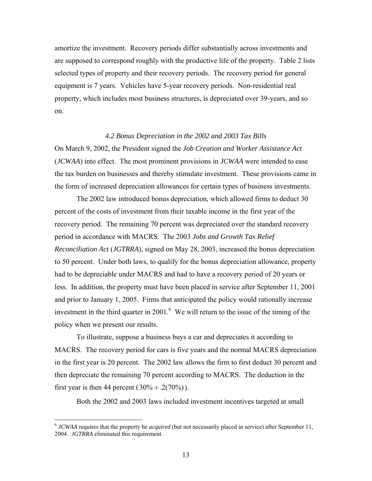amortize the investment. Recovery periods differ substantially across investments and are supposed to correspond roughly with the productive life of the property. Table 2 lists selected types of property and their recovery periods. The recovery period for general equipment is 7 years. Vehicles have 5-year recovery periods. Non-residential real property, which includes most business structures, is depreciated over 39-years, and so on.

#### *4.2 Bonus Depreciation in the 2002 and 2003 Tax Bills*

On March 9, 2002, the President signed the *Job Creation and Worker Assistance Act*  (*JCWAA*) into effect. The most prominent provisions in *JCWAA* were intended to ease the tax burden on businesses and thereby stimulate investment. These provisions came in the form of increased depreciation allowances for certain types of business investments.

The 2002 law introduced bonus depreciation, which allowed firms to deduct 30 percent of the costs of investment from their taxable income in the first year of the recovery period. The remaining 70 percent was depreciated over the standard recovery period in accordance with MACRS. The 2003 *Jobs and Growth Tax Relief Reconciliation Act* (*JGTRRA*), signed on May 28, 2003, increased the bonus depreciation to 50 percent. Under both laws, to qualify for the bonus depreciation allowance, property had to be depreciable under MACRS and had to have a recovery period of 20 years or less. In addition, the property must have been placed in service after September 11, 2001 and prior to January 1, 2005. Firms that anticipated the policy would rationally increase investment in the third quarter in  $2001$ .<sup>6</sup> We will return to the issue of the timing of the policy when we present our results.

To illustrate, suppose a business buys a car and depreciates it according to MACRS. The recovery period for cars is five years and the normal MACRS depreciation in the first year is 20 percent. The 2002 law allows the firm to first deduct 30 percent and then depreciate the remaining 70 percent according to MACRS. The deduction in the first year is then 44 percent  $(30\% + .2(70\%)$ ).

Both the 2002 and 2003 laws included investment incentives targeted at small

<sup>6</sup> *JCWAA* requires that the property be *acquired* (but not necessarily placed in service) after September 11, 2004. *JGTRRA* eliminated this requirement.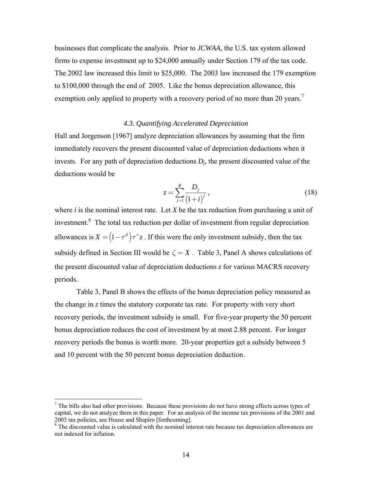businesses that complicate the analysis. Prior to *JCWAA*, the U.S. tax system allowed firms to expense investment up to \$24,000 annually under Section 179 of the tax code. The 2002 law increased this limit to \$25,000. The 2003 law increased the 179 exemption to \$100,000 through the end of 2005. Like the bonus depreciation allowance, this exemption only applied to property with a recovery period of no more than 20 years.<sup>7</sup>

# *4.3. Quantifying Accelerated Depreciation*

Hall and Jorgenson [1967] analyze depreciation allowances by assuming that the firm immediately recovers the present discounted value of depreciation deductions when it invests. For any path of depreciation deductions *Dj*, the present discounted value of the deductions would be

$$
z = \sum_{j=1}^{R} \frac{D_j}{(1+i)^j},
$$
\n(18)

where  $i$  is the nominal interest rate. Let *X* be the tax reduction from purchasing a unit of investment.<sup>8</sup> The total tax reduction per dollar of investment from regular depreciation allowances is  $X = (1 - \tau^d) \tau^{\pi} z$ . If this were the only investment subsidy, then the tax subsidy defined in Section III would be  $\zeta = X$ . Table 3, Panel A shows calculations of the present discounted value of depreciation deductions *z* for various MACRS recovery periods.

Table 3, Panel B shows the effects of the bonus depreciation policy measured as the change in  $\zeta$  times the statutory corporate tax rate. For property with very short recovery periods, the investment subsidy is small. For five-year property the 50 percent bonus depreciation reduces the cost of investment by at most 2.88 percent. For longer recovery periods the bonus is worth more. 20-year properties get a subsidy between 5 and 10 percent with the 50 percent bonus depreciation deduction.

 $<sup>7</sup>$  The bills also had other provisions. Because these provisions do not have strong effects across types of</sup> capital, we do not analyze them in this paper. For an analysis of the income tax provisions of the 2001 and 2003 tax policies, see House and Shapiro [forthcoming].

<sup>&</sup>lt;sup>8</sup> The discounted value is calculated with the nominal interest rate because tax depreciation allowances are not indexed for inflation.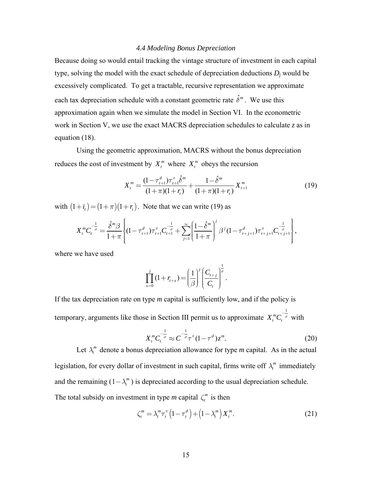#### *4.4 Modeling Bonus Depreciation*

Because doing so would entail tracking the vintage structure of investment in each capital type, solving the model with the exact schedule of depreciation deductions  $D_i$  would be excessively complicated. To get a tractable, recursive representation we approximate each tax depreciation schedule with a constant geometric rate  $\hat{\delta}^m$ . We use this approximation again when we simulate the model in Section VI. In the econometric work in Section V, we use the exact MACRS depreciation schedules to calculate *z* as in equation (18).

Using the geometric approximation, MACRS without the bonus depreciation reduces the cost of investment by  $X_t^m$  where  $X_t^m$  obeys the recursion

$$
X_t^m = \frac{(1 - \tau_{t+1}^d)\tau_{t+1}^{\pi}\hat{\delta}^m}{(1 + \pi)(1 + r_t)} + \frac{1 - \hat{\delta}^m}{(1 + \pi)(1 + r_t)} X_{t+1}^m
$$
(19)

with  $(1 + i_t) = (1 + \pi)(1 + r_t)$ . Note that we can write (19) as

$$
X_t^m C_t^{-\frac{1}{\sigma}} = \frac{\hat{\delta}^m \beta}{1+\pi} \left\{ (1-\tau_{t+1}^d) \tau_{t+1}^{\pi} C_{t+1}^{-\frac{1}{\sigma}} + \sum_{j=1}^{\infty} \left( \frac{1-\hat{\delta}^m}{1+\pi} \right)^j \beta^j (1-\tau_{t+j+1}^d) \tau_{t+j+1}^{\pi} C_{t+j+1}^{-\frac{1}{\sigma}} \right\},
$$

where we have used

$$
\prod_{s=0}^{j} (1 + r_{t+s}) = \left(\frac{1}{\beta}\right)^{j} \left(\frac{C_{t+j}}{C_t}\right)^{\frac{1}{\sigma}}.
$$

If the tax depreciation rate on type *m* capital is sufficiently low, and if the policy is temporary, arguments like those in Section III permit us to approximate  $X_t^m C_t^{-\frac{1}{\sigma}}$  with

$$
X_t^m C_t^{-\frac{1}{\sigma}} \approx C^{-\frac{1}{\sigma}} \tau^{\pi} (1 - \tau^d) z^m.
$$
 (20)

Let  $\lambda_i^m$  denote a bonus depreciation allowance for type *m* capital. As in the actual legislation, for every dollar of investment in such capital, firms write off  $\lambda_t^m$  immediately and the remaining  $(1 - \lambda_t^m)$  is depreciated according to the usual depreciation schedule. The total subsidy on investment in type *m* capital  $\zeta_t^m$  is then

$$
\zeta_t^m = \lambda_t^m \tau_t^{\pi} \left( 1 - \tau_t^d \right) + \left( 1 - \lambda_t^m \right) X_t^m. \tag{21}
$$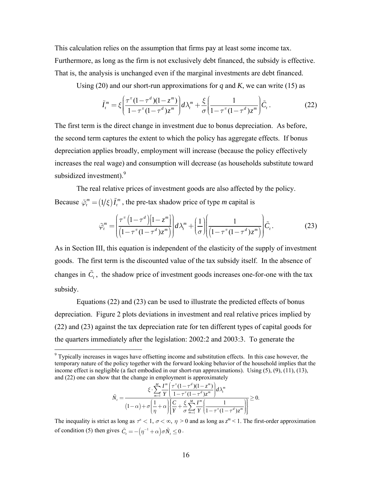This calculation relies on the assumption that firms pay at least some income tax. Furthermore, as long as the firm is not exclusively debt financed, the subsidy is effective. That is, the analysis is unchanged even if the marginal investments are debt financed.

Using (20) and our short-run approximations for  $q$  and  $K$ , we can write (15) as

$$
\tilde{I}_t^m = \xi \left( \frac{\tau^{\pi} (1 - \tau^d)(1 - z^m)}{1 - \tau^{\pi} (1 - \tau^d) z^m} \right) d\lambda_t^m + \frac{\xi}{\sigma} \left( \frac{1}{1 - \tau^{\pi} (1 - \tau^d) z^m} \right) \tilde{C}_t \,. \tag{22}
$$

The first term is the direct change in investment due to bonus depreciation. As before, the second term captures the extent to which the policy has aggregate effects. If bonus depreciation applies broadly, employment will increase (because the policy effectively increases the real wage) and consumption will decrease (as households substitute toward subsidized investment). $9$ 

The real relative prices of investment goods are also affected by the policy. Because  $\tilde{\varphi}_t^m = (1/\xi) \tilde{I}_t^m$ , the pre-tax shadow price of type *m* capital is

$$
\tilde{\varphi}_t^m = \left(\frac{\tau^{\pi}\left(1-\tau^d\right)\left[1-z^m\right]}{\left(1-\tau^{\pi}\left(1-\tau^d\right)z^m\right)}\right)d\lambda_t^m + \left(\frac{1}{\sigma}\right)\left(\frac{1}{\left(1-\tau^{\pi}\left(1-\tau^d\right)z^m\right)}\right)\tilde{C}_t.
$$
\n(23)

As in Section III, this equation is independent of the elasticity of the supply of investment goods. The first term is the discounted value of the tax subsidy itself. In the absence of changes in  $\tilde{C}_t$ , the shadow price of investment goods increases one-for-one with the tax subsidy.

Equations (22) and (23) can be used to illustrate the predicted effects of bonus depreciation. Figure 2 plots deviations in investment and real relative prices implied by (22) and (23) against the tax depreciation rate for ten different types of capital goods for the quarters immediately after the legislation: 2002:2 and 2003:3. To generate the

 $\overline{a}$ 

$$
\tilde{N}_t = \frac{\xi \cdot \sum_{m=1}^M \frac{I^m}{Y} \left( \frac{\tau^{\pi} (1 - \tau^d)(1 - z^m)}{1 - \tau^{\pi} (1 - \tau^d) z^m} \right) d\lambda_t^m}{(1 - \alpha) + \sigma \left( \frac{1}{\eta} + \alpha \right) \left[ \frac{C}{Y} + \frac{\xi}{\sigma} \sum_{m=1}^M \frac{I^m}{Y} \left( \frac{1}{1 - \tau^{\pi} (1 - \tau^d) z^m} \right) \right]} \ge 0.
$$

The inequality is strict as long as  $\tau^m < 1$ ,  $\sigma < \infty$ ,  $\eta > 0$  and as long as  $z^m < 1$ . The first-order approximation of condition (5) then gives  $\tilde{C}_t = -\left(\eta^{-1} + \alpha\right)\sigma \tilde{N}_t \leq 0$ .

<sup>&</sup>lt;sup>9</sup> Typically increases in wages have offsetting income and substitution effects. In this case however, the temporary nature of the policy together with the forward looking behavior of the household implies that the income effect is negligible (a fact embodied in our short-run approximations). Using (5), (9), (11), (13), and (22) one can show that the change in employment is approximately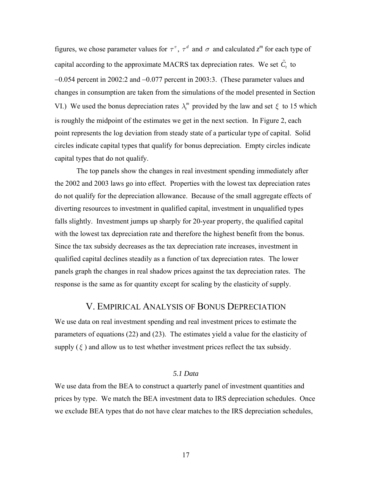figures, we chose parameter values for  $\tau^{\pi}$ ,  $\tau^d$  and  $\sigma$  and calculated  $z^m$  for each type of capital according to the approximate MACRS tax depreciation rates. We set  $\tilde{C}_t$  to −0.054 percent in 2002:2 and −0.077 percent in 2003:3. (These parameter values and changes in consumption are taken from the simulations of the model presented in Section VI.) We used the bonus depreciation rates  $\lambda_i^m$  provided by the law and set  $\xi$  to 15 which is roughly the midpoint of the estimates we get in the next section. In Figure 2, each point represents the log deviation from steady state of a particular type of capital. Solid circles indicate capital types that qualify for bonus depreciation. Empty circles indicate capital types that do not qualify.

 The top panels show the changes in real investment spending immediately after the 2002 and 2003 laws go into effect. Properties with the lowest tax depreciation rates do not qualify for the depreciation allowance. Because of the small aggregate effects of diverting resources to investment in qualified capital, investment in unqualified types falls slightly. Investment jumps up sharply for 20-year property, the qualified capital with the lowest tax depreciation rate and therefore the highest benefit from the bonus. Since the tax subsidy decreases as the tax depreciation rate increases, investment in qualified capital declines steadily as a function of tax depreciation rates. The lower panels graph the changes in real shadow prices against the tax depreciation rates. The response is the same as for quantity except for scaling by the elasticity of supply.

# V. EMPIRICAL ANALYSIS OF BONUS DEPRECIATION

We use data on real investment spending and real investment prices to estimate the parameters of equations (22) and (23). The estimates yield a value for the elasticity of supply  $(\xi)$  and allow us to test whether investment prices reflect the tax subsidy.

#### *5.1 Data*

We use data from the BEA to construct a quarterly panel of investment quantities and prices by type. We match the BEA investment data to IRS depreciation schedules. Once we exclude BEA types that do not have clear matches to the IRS depreciation schedules,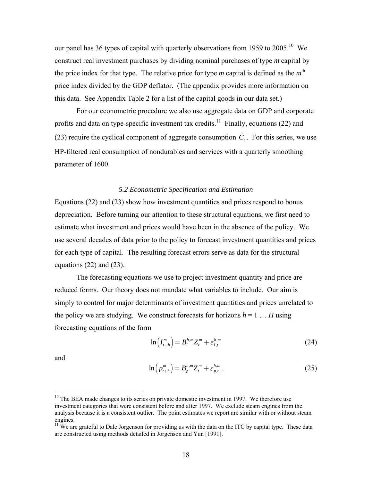our panel has 36 types of capital with quarterly observations from 1959 to 2005.<sup>10</sup> We construct real investment purchases by dividing nominal purchases of type *m* capital by the price index for that type. The relative price for type *m* capital is defined as the *m* th price index divided by the GDP deflator. (The appendix provides more information on this data. See Appendix Table 2 for a list of the capital goods in our data set.)

For our econometric procedure we also use aggregate data on GDP and corporate profits and data on type-specific investment tax credits.<sup>11</sup> Finally, equations (22) and (23) require the cyclical component of aggregate consumption  $\tilde{C}_t$ . For this series, we use HP-filtered real consumption of nondurables and services with a quarterly smoothing parameter of 1600.

#### *5.2 Econometric Specification and Estimation*

Equations (22) and (23) show how investment quantities and prices respond to bonus depreciation. Before turning our attention to these structural equations, we first need to estimate what investment and prices would have been in the absence of the policy. We use several decades of data prior to the policy to forecast investment quantities and prices for each type of capital. The resulting forecast errors serve as data for the structural equations (22) and (23).

The forecasting equations we use to project investment quantity and price are reduced forms. Our theory does not mandate what variables to include. Our aim is simply to control for major determinants of investment quantities and prices unrelated to the policy we are studying. We construct forecasts for horizons  $h = 1 \dots H$  using forecasting equations of the form

$$
\ln\left(I_{t+h}^{m}\right) = B_{I}^{h,m} Z_{t}^{m} + \varepsilon_{I,t}^{h,m} \tag{24}
$$

and

 $\overline{a}$ 

$$
\ln\left(p_{t+h}^{m}\right) = B_{p}^{h,m} Z_{t}^{m} + \varepsilon_{p,t}^{h,m} \,. \tag{25}
$$

 $10$  The BEA made changes to its series on private domestic investment in 1997. We therefore use investment categories that were consistent before and after 1997. We exclude steam engines from the analysis because it is a consistent outlier. The point estimates we report are similar with or without steam engines.

 $11$  We are grateful to Dale Jorgenson for providing us with the data on the ITC by capital type. These data are constructed using methods detailed in Jorgenson and Yun [1991].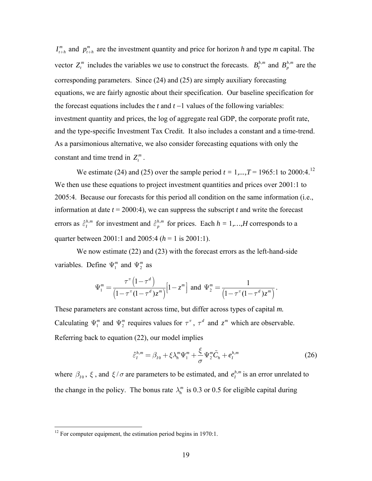$I_{t+h}^m$  and  $p_{t+h}^m$  are the investment quantity and price for horizon *h* and type *m* capital. The vector  $Z_t^m$  includes the variables we use to construct the forecasts.  $B_t^{h,m}$  and  $B_p^{h,m}$  are the corresponding parameters. Since (24) and (25) are simply auxiliary forecasting equations, we are fairly agnostic about their specification. Our baseline specification for the forecast equations includes the *t* and *t* −1 values of the following variables: investment quantity and prices, the log of aggregate real GDP, the corporate profit rate, and the type-specific Investment Tax Credit. It also includes a constant and a time-trend. As a parsimonious alternative, we also consider forecasting equations with only the constant and time trend in  $Z_t^m$ .

We estimate (24) and (25) over the sample period  $t = 1, ..., T = 1965:1$  to 2000:4.<sup>12</sup> We then use these equations to project investment quantities and prices over 2001:1 to 2005:4. Because our forecasts for this period all condition on the same information (i.e., information at date  $t = 2000:4$ , we can suppress the subscript  $t$  and write the forecast errors as  $\hat{\epsilon}_I^{h,m}$  for investment and  $\hat{\epsilon}_P^{h,m}$  for prices. Each  $h = 1,...,H$  corresponds to a quarter between  $2001:1$  and  $2005:4$  ( $h = 1$  is  $2001:1$ ).

We now estimate (22) and (23) with the forecast errors as the left-hand-side variables. Define  $\Psi_1^m$  and  $\Psi_2^m$  as

$$
\Psi_1^m = \frac{\tau^{\pi} (1 - \tau^d)}{(1 - \tau^{\pi} (1 - \tau^d) z^m)} [1 - z^m] \text{ and } \Psi_2^m = \frac{1}{(1 - \tau^{\pi} (1 - \tau^d) z^m)}.
$$

These parameters are constant across time, but differ across types of capital *m.* Calculating  $\Psi_1^m$  and  $\Psi_2^m$  requires values for  $\tau^{\pi}$ ,  $\tau^d$  and  $z^m$  which are observable. Referring back to equation (22), our model implies

$$
\hat{\varepsilon}_I^{h,m} = \beta_{I0} + \xi \lambda_h^m \Psi_1^m + \frac{\xi}{\sigma} \Psi_2^m \tilde{C}_h + e_I^{h,m}
$$
 (26)

where  $\beta_{I0}$ ,  $\xi$ , and  $\xi/\sigma$  are parameters to be estimated, and  $e_I^{h,m}$  is an error unrelated to the change in the policy. The bonus rate  $\lambda_h^m$  is 0.3 or 0.5 for eligible capital during

 $\overline{a}$ 

 $12$  For computer equipment, the estimation period begins in 1970:1.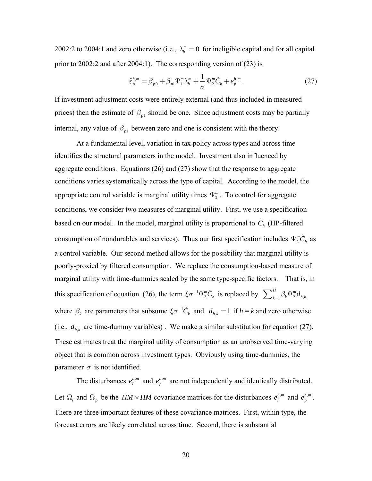2002:2 to 2004:1 and zero otherwise (i.e.,  $\lambda_h^m = 0$  for ineligible capital and for all capital prior to 2002:2 and after 2004:1). The corresponding version of (23) is

$$
\hat{\varepsilon}_p^{h,m} = \beta_{p0} + \beta_{p1} \Psi_1^m \lambda_h^m + \frac{1}{\sigma} \Psi_2^m \tilde{C}_h + e_p^{h,m}.
$$
 (27)

If investment adjustment costs were entirely external (and thus included in measured prices) then the estimate of  $\beta_{p1}$  should be one. Since adjustment costs may be partially internal, any value of  $\beta_{p1}$  between zero and one is consistent with the theory.

At a fundamental level, variation in tax policy across types and across time identifies the structural parameters in the model. Investment also influenced by aggregate conditions. Equations (26) and (27) show that the response to aggregate conditions varies systematically across the type of capital. According to the model, the appropriate control variable is marginal utility times  $\Psi_2^m$ . To control for aggregate conditions, we consider two measures of marginal utility. First, we use a specification based on our model. In the model, marginal utility is proportional to  $\tilde{C}_h$  (HP-filtered consumption of nondurables and services). Thus our first specification includes  $\Psi_2^m \tilde{C}_h$  as a control variable. Our second method allows for the possibility that marginal utility is poorly-proxied by filtered consumption. We replace the consumption-based measure of marginal utility with time-dummies scaled by the same type-specific factors. That is, in this specification of equation (26), the term  $\xi \sigma^{-1} \Psi_2^n$  $\xi \sigma^{-1} \Psi_2^m \tilde{C}_h$  is replaced by  $\sum_{k=1}^H \beta_k \Psi_2^m d_{h,k}$ where  $\beta_k$  are parameters that subsume  $\xi \sigma^{-1} \tilde{C}_k$  and  $d_{h,k} = 1$  if  $h = k$  and zero otherwise (i.e.,  $d_{h,k}$  are time-dummy variables). We make a similar substitution for equation (27). These estimates treat the marginal utility of consumption as an unobserved time-varying object that is common across investment types. Obviously using time-dummies, the parameter  $\sigma$  is not identified.

The disturbances  $e_i^{h,m}$  and  $e_p^{h,m}$  are not independently and identically distributed. Let  $\Omega_i$  and  $\Omega_p$  be the *HM* × *HM* covariance matrices for the disturbances  $e_i^{h,m}$  and  $e_p^{h,m}$ . There are three important features of these covariance matrices. First, within type, the forecast errors are likely correlated across time. Second, there is substantial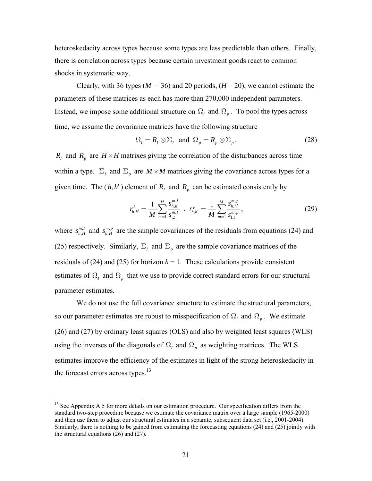heteroskedacity across types because some types are less predictable than others. Finally, there is correlation across types because certain investment goods react to common shocks in systematic way.

Clearly, with 36 types ( $M = 36$ ) and 20 periods, ( $H = 20$ ), we cannot estimate the parameters of these matrices as each has more than 270,000 independent parameters. Instead, we impose some additional structure on  $\Omega$ <sub>*I*</sub> and  $\Omega$ <sub>*p*</sub>. To pool the types across time, we assume the covariance matrices have the following structure

$$
\Omega_I = R_I \otimes \Sigma_I \text{ and } \Omega_p = R_p \otimes \Sigma_p. \tag{28}
$$

 $R_i$  and  $R_p$  are  $H \times H$  matrixes giving the correlation of the disturbances across time within a type.  $\Sigma$ <sub>*i*</sub> and  $\Sigma$ <sub>*p*</sub> are  $M \times M$  matrices giving the covariance across types for a given time. The  $(h, h')$  element of  $R<sub>I</sub>$  and  $R<sub>p</sub>$  can be estimated consistently by

$$
r_{h,h'}^I = \frac{1}{M} \sum_{m=1}^M \frac{s_{h,h'}^{m,I}}{s_{1,1}^{m,I}} \; , \; r_{h,h'}^p = \frac{1}{M} \sum_{m=1}^M \frac{s_{h,h'}^{m,p}}{s_{1,1}^{m,p}}, \tag{29}
$$

where  $s_{h,i}^m$  $s^{m,I}_{h,H}$  and  $s^{m,I}_{h,H}$  $s_{h,H}^{m,p}$  are the sample covariances of the residuals from equations (24) and (25) respectively. Similarly,  $\Sigma_I$  and  $\Sigma_p$  are the sample covariance matrices of the residuals of (24) and (25) for horizon  $h = 1$ . These calculations provide consistent estimates of  $\Omega$ <sub>*I*</sub> and  $\Omega$ <sub>*p*</sub> that we use to provide correct standard errors for our structural parameter estimates.

We do not use the full covariance structure to estimate the structural parameters, so our parameter estimates are robust to misspecification of  $\Omega$ <sub>*I*</sub> and  $\Omega$ <sub>*p*</sub>. We estimate (26) and (27) by ordinary least squares (OLS) and also by weighted least squares (WLS) using the inverses of the diagonals of  $\Omega$ <sub>*I*</sub> and  $\Omega$ <sub>*p*</sub> as weighting matrices. The WLS estimates improve the efficiency of the estimates in light of the strong heteroskedacity in the forecast errors across types. $^{13}$ 

<sup>&</sup>lt;sup>13</sup> See Appendix A.5 for more details on our estimation procedure. Our specification differs from the standard two-step procedure because we estimate the covariance matrix over a large sample (1965-2000) and then use them to adjust our structural estimates in a separate, subsequent data set (i.e., 2001-2004). Similarly, there is nothing to be gained from estimating the forecasting equations (24) and (25) jointly with the structural equations (26) and (27).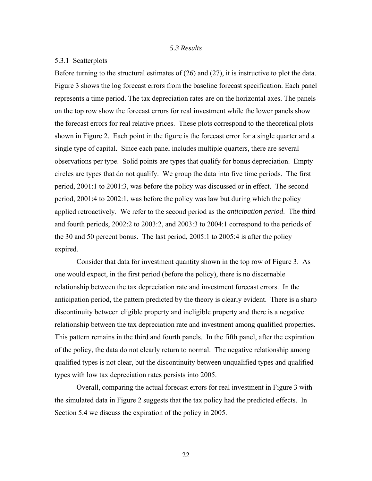#### *5.3 Results*

#### 5.3.1 Scatterplots

Before turning to the structural estimates of (26) and (27), it is instructive to plot the data. Figure 3 shows the log forecast errors from the baseline forecast specification. Each panel represents a time period. The tax depreciation rates are on the horizontal axes. The panels on the top row show the forecast errors for real investment while the lower panels show the forecast errors for real relative prices. These plots correspond to the theoretical plots shown in Figure 2. Each point in the figure is the forecast error for a single quarter and a single type of capital. Since each panel includes multiple quarters, there are several observations per type. Solid points are types that qualify for bonus depreciation. Empty circles are types that do not qualify. We group the data into five time periods. The first period, 2001:1 to 2001:3, was before the policy was discussed or in effect. The second period, 2001:4 to 2002:1, was before the policy was law but during which the policy applied retroactively. We refer to the second period as the *anticipation period*. The third and fourth periods, 2002:2 to 2003:2, and 2003:3 to 2004:1 correspond to the periods of the 30 and 50 percent bonus. The last period, 2005:1 to 2005:4 is after the policy expired.

 Consider that data for investment quantity shown in the top row of Figure 3. As one would expect, in the first period (before the policy), there is no discernable relationship between the tax depreciation rate and investment forecast errors. In the anticipation period, the pattern predicted by the theory is clearly evident. There is a sharp discontinuity between eligible property and ineligible property and there is a negative relationship between the tax depreciation rate and investment among qualified properties. This pattern remains in the third and fourth panels. In the fifth panel, after the expiration of the policy, the data do not clearly return to normal. The negative relationship among qualified types is not clear, but the discontinuity between unqualified types and qualified types with low tax depreciation rates persists into 2005.

Overall, comparing the actual forecast errors for real investment in Figure 3 with the simulated data in Figure 2 suggests that the tax policy had the predicted effects. In Section 5.4 we discuss the expiration of the policy in 2005.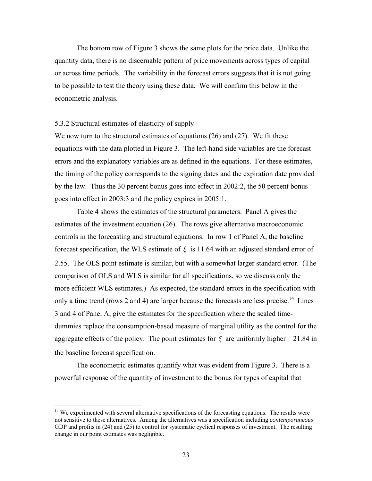The bottom row of Figure 3 shows the same plots for the price data. Unlike the quantity data, there is no discernable pattern of price movements across types of capital or across time periods. The variability in the forecast errors suggests that it is not going to be possible to test the theory using these data. We will confirm this below in the econometric analysis.

#### 5.3.2 Structural estimates of elasticity of supply

 $\overline{a}$ 

We now turn to the structural estimates of equations (26) and (27). We fit these equations with the data plotted in Figure 3. The left-hand side variables are the forecast errors and the explanatory variables are as defined in the equations. For these estimates, the timing of the policy corresponds to the signing dates and the expiration date provided by the law. Thus the 30 percent bonus goes into effect in 2002:2, the 50 percent bonus goes into effect in 2003:3 and the policy expires in 2005:1.

Table 4 shows the estimates of the structural parameters. Panel A gives the estimates of the investment equation (26). The rows give alternative macroeconomic controls in the forecasting and structural equations. In row 1 of Panel A, the baseline forecast specification, the WLS estimate of  $\xi$  is 11.64 with an adjusted standard error of 2.55. The OLS point estimate is similar, but with a somewhat larger standard error. (The comparison of OLS and WLS is similar for all specifications, so we discuss only the more efficient WLS estimates.) As expected, the standard errors in the specification with only a time trend (rows 2 and 4) are larger because the forecasts are less precise.<sup>14</sup> Lines 3 and 4 of Panel A, give the estimates for the specification where the scaled timedummies replace the consumption-based measure of marginal utility as the control for the aggregate effects of the policy. The point estimates for  $\xi$  are uniformly higher—21.84 in the baseline forecast specification.

The econometric estimates quantify what was evident from Figure 3. There is a powerful response of the quantity of investment to the bonus for types of capital that

 $14$  We experimented with several alternative specifications of the forecasting equations. The results were not sensitive to these alternatives. Among the alternatives was a specification including *contemporaneous* GDP and profits in  $(24)$  and  $(25)$  to control for systematic cyclical responses of investment. The resulting change in our point estimates was negligible.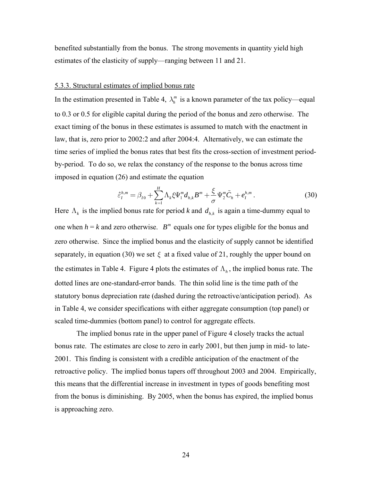benefited substantially from the bonus. The strong movements in quantity yield high estimates of the elasticity of supply—ranging between 11 and 21.

#### 5.3.3. Structural estimates of implied bonus rate

In the estimation presented in Table 4,  $\lambda_h^m$  is a known parameter of the tax policy—equal to 0.3 or 0.5 for eligible capital during the period of the bonus and zero otherwise. The exact timing of the bonus in these estimates is assumed to match with the enactment in law, that is, zero prior to 2002:2 and after 2004:4. Alternatively, we can estimate the time series of implied the bonus rates that best fits the cross-section of investment periodby-period. To do so, we relax the constancy of the response to the bonus across time imposed in equation (26) and estimate the equation

$$
\hat{\varepsilon}_I^{h,m} = \beta_{I0} + \sum_{k=1}^H \Lambda_k \xi \Psi_1^m d_{h,k} B^m + \frac{\xi}{\sigma} \Psi_2^m \tilde{C}_h + e_I^{h,m} \,. \tag{30}
$$

Here  $\Lambda_k$  is the implied bonus rate for period *k* and  $d_{hk}$  is again a time-dummy equal to one when  $h = k$  and zero otherwise.  $B^m$  equals one for types eligible for the bonus and zero otherwise. Since the implied bonus and the elasticity of supply cannot be identified separately, in equation (30) we set  $\xi$  at a fixed value of 21, roughly the upper bound on the estimates in Table 4. Figure 4 plots the estimates of  $\Lambda_h$ , the implied bonus rate. The dotted lines are one-standard-error bands. The thin solid line is the time path of the statutory bonus depreciation rate (dashed during the retroactive/anticipation period). As in Table 4, we consider specifications with either aggregate consumption (top panel) or scaled time-dummies (bottom panel) to control for aggregate effects.

The implied bonus rate in the upper panel of Figure 4 closely tracks the actual bonus rate. The estimates are close to zero in early 2001, but then jump in mid- to late-2001. This finding is consistent with a credible anticipation of the enactment of the retroactive policy. The implied bonus tapers off throughout 2003 and 2004. Empirically, this means that the differential increase in investment in types of goods benefiting most from the bonus is diminishing. By 2005, when the bonus has expired, the implied bonus is approaching zero.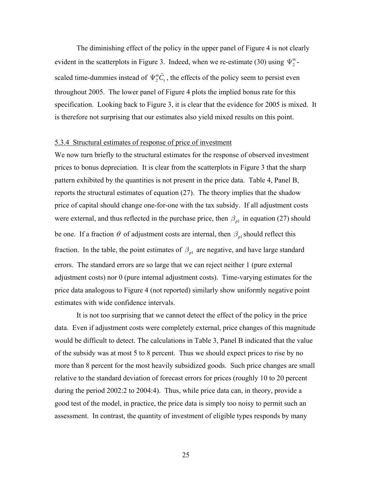The diminishing effect of the policy in the upper panel of Figure 4 is not clearly evident in the scatterplots in Figure 3. Indeed, when we re-estimate (30) using  $\Psi_2^m$ scaled time-dummies instead of  $\Psi_2^m \tilde{C}_t$ , the effects of the policy seem to persist even throughout 2005. The lower panel of Figure 4 plots the implied bonus rate for this specification. Looking back to Figure 3, it is clear that the evidence for 2005 is mixed. It is therefore not surprising that our estimates also yield mixed results on this point.

#### 5.3.4 Structural estimates of response of price of investment

We now turn briefly to the structural estimates for the response of observed investment prices to bonus depreciation. It is clear from the scatterplots in Figure 3 that the sharp pattern exhibited by the quantities is not present in the price data. Table 4, Panel B, reports the structural estimates of equation (27). The theory implies that the shadow price of capital should change one-for-one with the tax subsidy. If all adjustment costs were external, and thus reflected in the purchase price, then  $\beta_{p1}$  in equation (27) should be one. If a fraction  $\theta$  of adjustment costs are internal, then  $\beta_{p}$  should reflect this fraction. In the table, the point estimates of  $\beta_{p1}$  are negative, and have large standard errors. The standard errors are so large that we can reject neither 1 (pure external adjustment costs) nor 0 (pure internal adjustment costs). Time-varying estimates for the price data analogous to Figure 4 (not reported) similarly show uniformly negative point estimates with wide confidence intervals.

It is not too surprising that we cannot detect the effect of the policy in the price data. Even if adjustment costs were completely external, price changes of this magnitude would be difficult to detect. The calculations in Table 3, Panel B indicated that the value of the subsidy was at most 5 to 8 percent. Thus we should expect prices to rise by no more than 8 percent for the most heavily subsidized goods. Such price changes are small relative to the standard deviation of forecast errors for prices (roughly 10 to 20 percent during the period 2002:2 to 2004:4). Thus, while price data can, in theory, provide a good test of the model, in practice, the price data is simply too noisy to permit such an assessment. In contrast, the quantity of investment of eligible types responds by many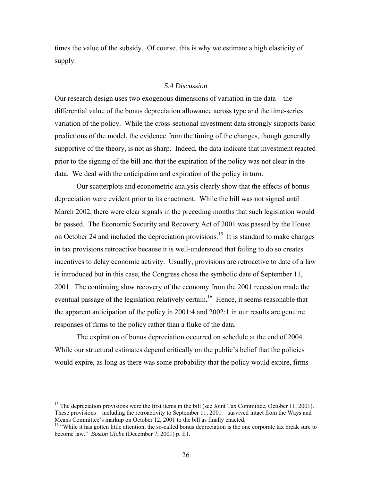times the value of the subsidy. Of course, this is why we estimate a high elasticity of supply.

### *5.4 Discussion*

Our research design uses two exogenous dimensions of variation in the data—the differential value of the bonus depreciation allowance across type and the time-series variation of the policy. While the cross-sectional investment data strongly supports basic predictions of the model, the evidence from the timing of the changes, though generally supportive of the theory, is not as sharp. Indeed, the data indicate that investment reacted prior to the signing of the bill and that the expiration of the policy was not clear in the data. We deal with the anticipation and expiration of the policy in turn.

Our scatterplots and econometric analysis clearly show that the effects of bonus depreciation were evident prior to its enactment. While the bill was not signed until March 2002, there were clear signals in the preceding months that such legislation would be passed. The Economic Security and Recovery Act of 2001 was passed by the House on October 24 and included the depreciation provisions.<sup>15</sup> It is standard to make changes in tax provisions retroactive because it is well-understood that failing to do so creates incentives to delay economic activity. Usually, provisions are retroactive to date of a law is introduced but in this case, the Congress chose the symbolic date of September 11, 2001. The continuing slow recovery of the economy from the 2001 recession made the eventual passage of the legislation relatively certain.<sup>16</sup> Hence, it seems reasonable that the apparent anticipation of the policy in 2001:4 and 2002:1 in our results are genuine responses of firms to the policy rather than a fluke of the data.

The expiration of bonus depreciation occurred on schedule at the end of 2004. While our structural estimates depend critically on the public's belief that the policies would expire, as long as there was some probability that the policy would expire, firms

<sup>&</sup>lt;sup>15</sup> The depreciation provisions were the first items in the bill (see Joint Tax Committee, October 11, 2001). These provisions—including the retroactivity to September 11, 2001—survived intact from the Ways and Means Committee's markup on October 12, 2001 to the bill as finally enacted.

<sup>&</sup>lt;sup>16</sup> "While it has gotten little attention, the so-called bonus depreciation is the one corporate tax break sure to become law." *Boston Globe* (December 7, 2001) p. E1.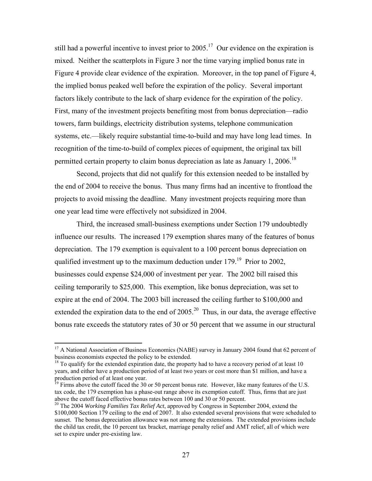still had a powerful incentive to invest prior to  $2005$ .<sup>17</sup> Our evidence on the expiration is mixed. Neither the scatterplots in Figure 3 nor the time varying implied bonus rate in Figure 4 provide clear evidence of the expiration. Moreover, in the top panel of Figure 4, the implied bonus peaked well before the expiration of the policy. Several important factors likely contribute to the lack of sharp evidence for the expiration of the policy. First, many of the investment projects benefiting most from bonus depreciation—radio towers, farm buildings, electricity distribution systems, telephone communication systems, etc.—likely require substantial time-to-build and may have long lead times. In recognition of the time-to-build of complex pieces of equipment, the original tax bill permitted certain property to claim bonus depreciation as late as January 1, 2006.18

Second, projects that did not qualify for this extension needed to be installed by the end of 2004 to receive the bonus. Thus many firms had an incentive to frontload the projects to avoid missing the deadline. Many investment projects requiring more than one year lead time were effectively not subsidized in 2004.

Third, the increased small-business exemptions under Section 179 undoubtedly influence our results. The increased 179 exemption shares many of the features of bonus depreciation. The 179 exemption is equivalent to a 100 percent bonus depreciation on qualified investment up to the maximum deduction under  $179<sup>19</sup>$  Prior to 2002, businesses could expense \$24,000 of investment per year. The 2002 bill raised this ceiling temporarily to \$25,000. This exemption, like bonus depreciation, was set to expire at the end of 2004. The 2003 bill increased the ceiling further to \$100,000 and extended the expiration data to the end of  $2005$ <sup>20</sup> Thus, in our data, the average effective bonus rate exceeds the statutory rates of 30 or 50 percent that we assume in our structural

 $\overline{a}$ 

<sup>&</sup>lt;sup>17</sup> A National Association of Business Economics (NABE) survey in January 2004 found that 62 percent of business economists expected the policy to be extended.

 $18$  To qualify for the extended expiration date, the property had to have a recovery period of at least 10 years, and either have a production period of at least two years or cost more than \$1 million, and have a production period of at least one year.

<sup>&</sup>lt;sup>19</sup> Firms above the cutoff faced the 30 or 50 percent bonus rate. However, like many features of the U.S. tax code, the 179 exemption has a phase-out range above its exemption cutoff. Thus, firms that are just above the cutoff faced effective bonus rates between 100 and 30 or 50 percent.

<sup>&</sup>lt;sup>20</sup> The 2004 Working Families Tax Relief Act, approved by Congress in September 2004, extend the \$100,000 Section 179 ceiling to the end of 2007. It also extended several provisions that were scheduled to sunset. The bonus depreciation allowance was not among the extensions. The extended provisions include the child tax credit, the 10 percent tax bracket, marriage penalty relief and AMT relief, all of which were set to expire under pre-existing law.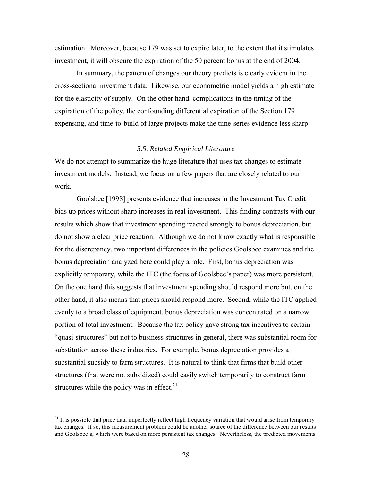estimation. Moreover, because 179 was set to expire later, to the extent that it stimulates investment, it will obscure the expiration of the 50 percent bonus at the end of 2004.

In summary, the pattern of changes our theory predicts is clearly evident in the cross-sectional investment data. Likewise, our econometric model yields a high estimate for the elasticity of supply. On the other hand, complications in the timing of the expiration of the policy, the confounding differential expiration of the Section 179 expensing, and time-to-build of large projects make the time-series evidence less sharp.

### *5.5. Related Empirical Literature*

We do not attempt to summarize the huge literature that uses tax changes to estimate investment models. Instead, we focus on a few papers that are closely related to our work.

Goolsbee [1998] presents evidence that increases in the Investment Tax Credit bids up prices without sharp increases in real investment. This finding contrasts with our results which show that investment spending reacted strongly to bonus depreciation, but do not show a clear price reaction. Although we do not know exactly what is responsible for the discrepancy, two important differences in the policies Goolsbee examines and the bonus depreciation analyzed here could play a role. First, bonus depreciation was explicitly temporary, while the ITC (the focus of Goolsbee's paper) was more persistent. On the one hand this suggests that investment spending should respond more but, on the other hand, it also means that prices should respond more. Second, while the ITC applied evenly to a broad class of equipment, bonus depreciation was concentrated on a narrow portion of total investment. Because the tax policy gave strong tax incentives to certain "quasi-structures" but not to business structures in general, there was substantial room for substitution across these industries. For example, bonus depreciation provides a substantial subsidy to farm structures. It is natural to think that firms that build other structures (that were not subsidized) could easily switch temporarily to construct farm structures while the policy was in effect. $21$ 

 $21$  It is possible that price data imperfectly reflect high frequency variation that would arise from temporary tax changes. If so, this measurement problem could be another source of the difference between our results and Goolsbee's, which were based on more persistent tax changes. Nevertheless, the predicted movements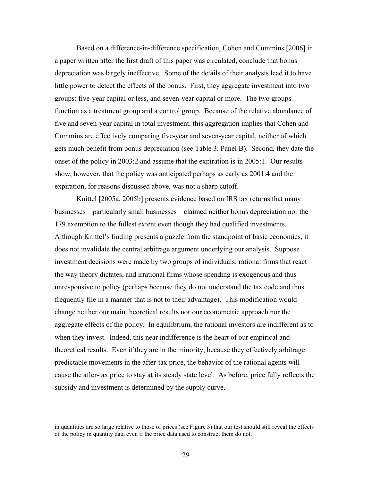Based on a difference-in-difference specification, Cohen and Cummins [2006] in a paper written after the first draft of this paper was circulated, conclude that bonus depreciation was largely ineffective. Some of the details of their analysis lead it to have little power to detect the effects of the bonus. First, they aggregate investment into two groups: five-year capital or less, and seven-year capital or more. The two groups function as a treatment group and a control group. Because of the relative abundance of five and seven-year capital in total investment, this aggregation implies that Cohen and Cummins are effectively comparing five-year and seven-year capital, neither of which gets much benefit from bonus depreciation (see Table 3, Panel B). Second, they date the onset of the policy in 2003:2 and assume that the expiration is in 2005:1. Our results show, however, that the policy was anticipated perhaps as early as 2001:4 and the expiration, for reasons discussed above, was not a sharp cutoff.

Knittel [2005a, 2005b] presents evidence based on IRS tax returns that many businesses—particularly small businesses—claimed neither bonus depreciation nor the 179 exemption to the fullest extent even though they had qualified investments. Although Knittel's finding presents a puzzle from the standpoint of basic economics, it does not invalidate the central arbitrage argument underlying our analysis. Suppose investment decisions were made by two groups of individuals: rational firms that react the way theory dictates, and irrational firms whose spending is exogenous and thus unresponsive to policy (perhaps because they do not understand the tax code and thus frequently file in a manner that is not to their advantage). This modification would change neither our main theoretical results nor our econometric approach nor the aggregate effects of the policy. In equilibrium, the rational investors are indifferent as to when they invest. Indeed, this near indifference is the heart of our empirical and theoretical results. Even if they are in the minority, because they effectively arbitrage predictable movements in the after-tax price, the behavior of the rational agents will cause the after-tax price to stay at its steady state level. As before, price fully reflects the subsidy and investment is determined by the supply curve.

in quantities are so large relative to those of prices (see Figure 3) that our test should still reveal the effects of the policy in quantity data even if the price data used to construct them do not.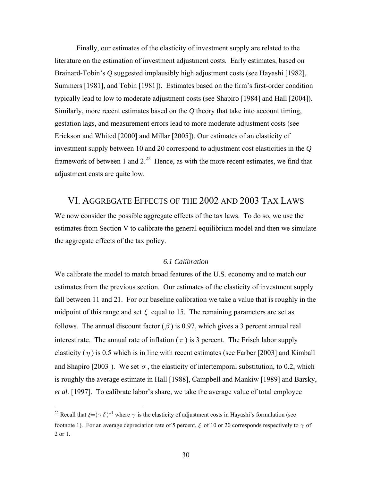Finally, our estimates of the elasticity of investment supply are related to the literature on the estimation of investment adjustment costs. Early estimates, based on Brainard-Tobin's *Q* suggested implausibly high adjustment costs (see Hayashi [1982], Summers [1981], and Tobin [1981]). Estimates based on the firm's first-order condition typically lead to low to moderate adjustment costs (see Shapiro [1984] and Hall [2004]). Similarly, more recent estimates based on the *Q* theory that take into account timing, gestation lags, and measurement errors lead to more moderate adjustment costs (see Erickson and Whited [2000] and Millar [2005]). Our estimates of an elasticity of investment supply between 10 and 20 correspond to adjustment cost elasticities in the *Q* framework of between 1 and  $2^{22}$  Hence, as with the more recent estimates, we find that adjustment costs are quite low.

# VI. AGGREGATE EFFECTS OF THE 2002 AND 2003 TAX LAWS

We now consider the possible aggregate effects of the tax laws. To do so, we use the estimates from Section V to calibrate the general equilibrium model and then we simulate the aggregate effects of the tax policy.

# *6.1 Calibration*

We calibrate the model to match broad features of the U.S. economy and to match our estimates from the previous section. Our estimates of the elasticity of investment supply fall between 11 and 21. For our baseline calibration we take a value that is roughly in the midpoint of this range and set  $\xi$  equal to 15. The remaining parameters are set as follows. The annual discount factor  $(\beta)$  is 0.97, which gives a 3 percent annual real interest rate. The annual rate of inflation  $(\pi)$  is 3 percent. The Frisch labor supply elasticity  $(\eta)$  is 0.5 which is in line with recent estimates (see Farber [2003] and Kimball and Shapiro [2003]). We set  $\sigma$ , the elasticity of intertemporal substitution, to 0.2, which is roughly the average estimate in Hall [1988], Campbell and Mankiw [1989] and Barsky, *et al.* [1997]. To calibrate labor's share, we take the average value of total employee

<sup>&</sup>lt;sup>22</sup> Recall that  $\xi = (\gamma \delta)^{-1}$  where  $\gamma$  is the elasticity of adjustment costs in Hayashi's formulation (see footnote 1). For an average depreciation rate of 5 percent,  $\xi$  of 10 or 20 corresponds respectively to  $\gamma$  of 2 or 1.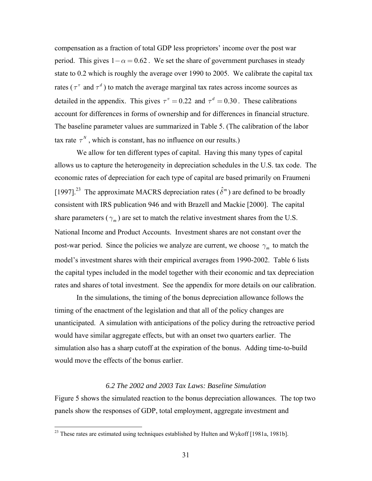compensation as a fraction of total GDP less proprietors' income over the post war period. This gives  $1 - \alpha = 0.62$ . We set the share of government purchases in steady state to 0.2 which is roughly the average over 1990 to 2005. We calibrate the capital tax rates ( $\tau^{\pi}$  and  $\tau^{d}$ ) to match the average marginal tax rates across income sources as detailed in the appendix. This gives  $\tau^* = 0.22$  and  $\tau^d = 0.30$ . These calibrations account for differences in forms of ownership and for differences in financial structure. The baseline parameter values are summarized in Table 5. (The calibration of the labor tax rate  $\tau^N$ , which is constant, has no influence on our results.)

We allow for ten different types of capital. Having this many types of capital allows us to capture the heterogeneity in depreciation schedules in the U.S. tax code. The economic rates of depreciation for each type of capital are based primarily on Fraumeni [1997].<sup>23</sup> The approximate MACRS depreciation rates ( $\hat{\delta}^m$ ) are defined to be broadly consistent with IRS publication 946 and with Brazell and Mackie [2000]. The capital share parameters ( $\gamma_m$ ) are set to match the relative investment shares from the U.S. National Income and Product Accounts. Investment shares are not constant over the post-war period. Since the policies we analyze are current, we choose  $\gamma_m$  to match the model's investment shares with their empirical averages from 1990-2002. Table 6 lists the capital types included in the model together with their economic and tax depreciation rates and shares of total investment. See the appendix for more details on our calibration.

In the simulations, the timing of the bonus depreciation allowance follows the timing of the enactment of the legislation and that all of the policy changes are unanticipated. A simulation with anticipations of the policy during the retroactive period would have similar aggregate effects, but with an onset two quarters earlier. The simulation also has a sharp cutoff at the expiration of the bonus. Adding time-to-build would move the effects of the bonus earlier.

### *6.2 The 2002 and 2003 Tax Laws: Baseline Simulation*

Figure 5 shows the simulated reaction to the bonus depreciation allowances. The top two panels show the responses of GDP, total employment, aggregate investment and

 $\overline{a}$ 

<sup>&</sup>lt;sup>23</sup> These rates are estimated using techniques established by Hulten and Wykoff [1981a, 1981b].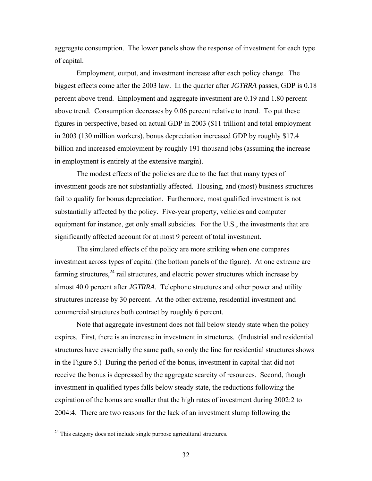aggregate consumption. The lower panels show the response of investment for each type of capital.

Employment, output, and investment increase after each policy change. The biggest effects come after the 2003 law. In the quarter after *JGTRRA* passes, GDP is 0.18 percent above trend. Employment and aggregate investment are 0.19 and 1.80 percent above trend. Consumption decreases by 0.06 percent relative to trend. To put these figures in perspective, based on actual GDP in 2003 (\$11 trillion) and total employment in 2003 (130 million workers), bonus depreciation increased GDP by roughly \$17.4 billion and increased employment by roughly 191 thousand jobs (assuming the increase in employment is entirely at the extensive margin).

The modest effects of the policies are due to the fact that many types of investment goods are not substantially affected. Housing, and (most) business structures fail to qualify for bonus depreciation. Furthermore, most qualified investment is not substantially affected by the policy. Five-year property, vehicles and computer equipment for instance, get only small subsidies. For the U.S., the investments that are significantly affected account for at most 9 percent of total investment.

The simulated effects of the policy are more striking when one compares investment across types of capital (the bottom panels of the figure). At one extreme are farming structures,  $24$  rail structures, and electric power structures which increase by almost 40.0 percent after *JGTRRA*. Telephone structures and other power and utility structures increase by 30 percent. At the other extreme, residential investment and commercial structures both contract by roughly 6 percent.

Note that aggregate investment does not fall below steady state when the policy expires. First, there is an increase in investment in structures. (Industrial and residential structures have essentially the same path, so only the line for residential structures shows in the Figure 5.) During the period of the bonus, investment in capital that did not receive the bonus is depressed by the aggregate scarcity of resources. Second, though investment in qualified types falls below steady state, the reductions following the expiration of the bonus are smaller that the high rates of investment during 2002:2 to 2004:4. There are two reasons for the lack of an investment slump following the

<u>.</u>

 $24$  This category does not include single purpose agricultural structures.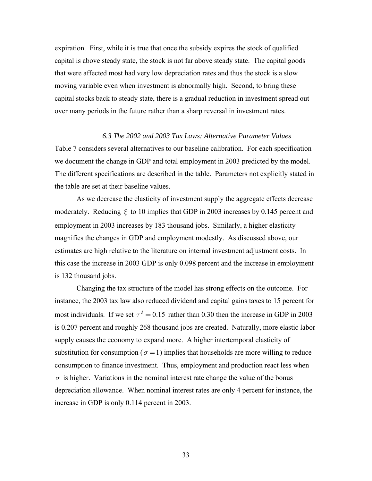expiration. First, while it is true that once the subsidy expires the stock of qualified capital is above steady state, the stock is not far above steady state. The capital goods that were affected most had very low depreciation rates and thus the stock is a slow moving variable even when investment is abnormally high. Second, to bring these capital stocks back to steady state, there is a gradual reduction in investment spread out over many periods in the future rather than a sharp reversal in investment rates.

#### *6.3 The 2002 and 2003 Tax Laws: Alternative Parameter Values*

Table 7 considers several alternatives to our baseline calibration. For each specification we document the change in GDP and total employment in 2003 predicted by the model. The different specifications are described in the table. Parameters not explicitly stated in the table are set at their baseline values.

As we decrease the elasticity of investment supply the aggregate effects decrease moderately. Reducing *ξ* to 10 implies that GDP in 2003 increases by 0.145 percent and employment in 2003 increases by 183 thousand jobs. Similarly, a higher elasticity magnifies the changes in GDP and employment modestly. As discussed above, our estimates are high relative to the literature on internal investment adjustment costs. In this case the increase in 2003 GDP is only 0.098 percent and the increase in employment is 132 thousand jobs.

Changing the tax structure of the model has strong effects on the outcome. For instance, the 2003 tax law also reduced dividend and capital gains taxes to 15 percent for most individuals. If we set  $\tau^d = 0.15$  rather than 0.30 then the increase in GDP in 2003 is 0.207 percent and roughly 268 thousand jobs are created. Naturally, more elastic labor supply causes the economy to expand more. A higher intertemporal elasticity of substitution for consumption ( $\sigma = 1$ ) implies that households are more willing to reduce consumption to finance investment. Thus, employment and production react less when  $\sigma$  is higher. Variations in the nominal interest rate change the value of the bonus depreciation allowance. When nominal interest rates are only 4 percent for instance, the increase in GDP is only 0.114 percent in 2003.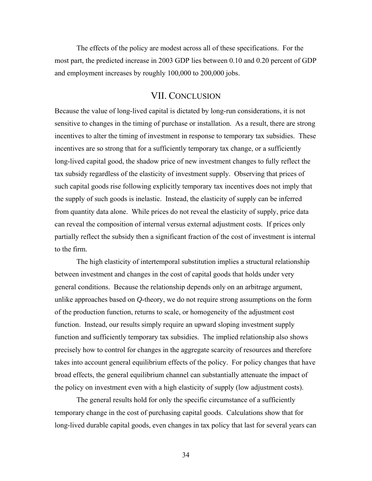The effects of the policy are modest across all of these specifications. For the most part, the predicted increase in 2003 GDP lies between 0.10 and 0.20 percent of GDP and employment increases by roughly 100,000 to 200,000 jobs.

# VII. CONCLUSION

Because the value of long-lived capital is dictated by long-run considerations, it is not sensitive to changes in the timing of purchase or installation. As a result, there are strong incentives to alter the timing of investment in response to temporary tax subsidies. These incentives are so strong that for a sufficiently temporary tax change, or a sufficiently long-lived capital good, the shadow price of new investment changes to fully reflect the tax subsidy regardless of the elasticity of investment supply. Observing that prices of such capital goods rise following explicitly temporary tax incentives does not imply that the supply of such goods is inelastic. Instead, the elasticity of supply can be inferred from quantity data alone. While prices do not reveal the elasticity of supply, price data can reveal the composition of internal versus external adjustment costs. If prices only partially reflect the subsidy then a significant fraction of the cost of investment is internal to the firm.

 The high elasticity of intertemporal substitution implies a structural relationship between investment and changes in the cost of capital goods that holds under very general conditions. Because the relationship depends only on an arbitrage argument, unlike approaches based on *Q*-theory, we do not require strong assumptions on the form of the production function, returns to scale, or homogeneity of the adjustment cost function. Instead, our results simply require an upward sloping investment supply function and sufficiently temporary tax subsidies. The implied relationship also shows precisely how to control for changes in the aggregate scarcity of resources and therefore takes into account general equilibrium effects of the policy. For policy changes that have broad effects, the general equilibrium channel can substantially attenuate the impact of the policy on investment even with a high elasticity of supply (low adjustment costs).

The general results hold for only the specific circumstance of a sufficiently temporary change in the cost of purchasing capital goods. Calculations show that for long-lived durable capital goods, even changes in tax policy that last for several years can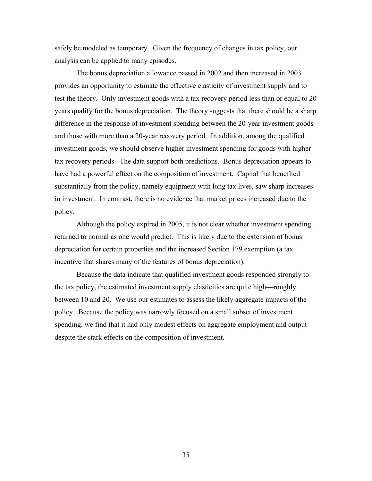safely be modeled as temporary. Given the frequency of changes in tax policy, our analysis can be applied to many episodes.

The bonus depreciation allowance passed in 2002 and then increased in 2003 provides an opportunity to estimate the effective elasticity of investment supply and to test the theory. Only investment goods with a tax recovery period less than or equal to 20 years qualify for the bonus depreciation. The theory suggests that there should be a sharp difference in the response of investment spending between the 20-year investment goods and those with more than a 20-year recovery period. In addition, among the qualified investment goods, we should observe higher investment spending for goods with higher tax recovery periods. The data support both predictions. Bonus depreciation appears to have had a powerful effect on the composition of investment. Capital that benefited substantially from the policy, namely equipment with long tax lives, saw sharp increases in investment. In contrast, there is no evidence that market prices increased due to the policy.

Although the policy expired in 2005, it is not clear whether investment spending returned to normal as one would predict. This is likely due to the extension of bonus depreciation for certain properties and the increased Section 179 exemption (a tax incentive that shares many of the features of bonus depreciation).

Because the data indicate that qualified investment goods responded strongly to the tax policy, the estimated investment supply elasticities are quite high—roughly between 10 and 20. We use our estimates to assess the likely aggregate impacts of the policy. Because the policy was narrowly focused on a small subset of investment spending, we find that it had only modest effects on aggregate employment and output despite the stark effects on the composition of investment.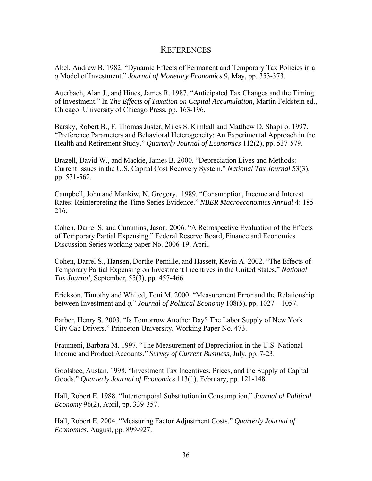# **REFERENCES**

Abel, Andrew B. 1982. "Dynamic Effects of Permanent and Temporary Tax Policies in a *q* Model of Investment." *Journal of Monetary Economics* 9, May, pp. 353-373.

Auerbach, Alan J., and Hines, James R. 1987. "Anticipated Tax Changes and the Timing of Investment." In *The Effects of Taxation on Capital Accumulation*, Martin Feldstein ed., Chicago: University of Chicago Press, pp. 163-196.

Barsky, Robert B., F. Thomas Juster, Miles S. Kimball and Matthew D. Shapiro. 1997. "Preference Parameters and Behavioral Heterogeneity: An Experimental Approach in the Health and Retirement Study." *Quarterly Journal of Economics* 112(2), pp. 537-579.

Brazell, David W., and Mackie, James B. 2000. "Depreciation Lives and Methods: Current Issues in the U.S. Capital Cost Recovery System." *National Tax Journal* 53(3), pp. 531-562.

Campbell, John and Mankiw, N. Gregory. 1989. "Consumption, Income and Interest Rates: Reinterpreting the Time Series Evidence." *NBER Macroeconomics Annual* 4: 185- 216.

Cohen, Darrel S. and Cummins, Jason. 2006. "A Retrospective Evaluation of the Effects of Temporary Partial Expensing." Federal Reserve Board, Finance and Economics Discussion Series working paper No. 2006-19, April.

Cohen, Darrel S., Hansen, Dorthe-Pernille, and Hassett, Kevin A. 2002. "The Effects of Temporary Partial Expensing on Investment Incentives in the United States." *National Tax Journal*, September, 55(3), pp. 457-466.

Erickson, Timothy and Whited, Toni M. 2000. "Measurement Error and the Relationship between Investment and *q*." *Journal of Political Economy* 108(5), pp. 1027 – 1057.

Farber, Henry S. 2003. "Is Tomorrow Another Day? The Labor Supply of New York City Cab Drivers." Princeton University, Working Paper No. 473.

Fraumeni, Barbara M. 1997. "The Measurement of Depreciation in the U.S. National Income and Product Accounts." *Survey of Current Business*, July, pp. 7-23.

Goolsbee, Austan. 1998. "Investment Tax Incentives, Prices, and the Supply of Capital Goods." *Quarterly Journal of Economics* 113(1), February, pp. 121-148.

Hall, Robert E. 1988. "Intertemporal Substitution in Consumption." *Journal of Political Economy* 96(2), April, pp. 339-357.

Hall, Robert E. 2004. "Measuring Factor Adjustment Costs." *Quarterly Journal of Economics*, August, pp. 899-927.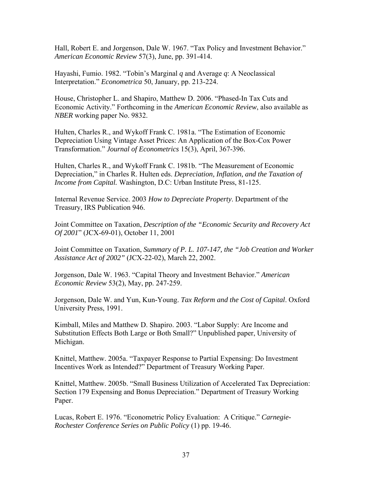Hall, Robert E. and Jorgenson, Dale W. 1967. "Tax Policy and Investment Behavior." *American Economic Review* 57(3), June, pp. 391-414.

Hayashi, Fumio. 1982. "Tobin's Marginal *q* and Average *q*: A Neoclassical Interpretation." *Econometrica* 50, January, pp. 213-224.

House, Christopher L. and Shapiro, Matthew D. 2006. "Phased-In Tax Cuts and Economic Activity." Forthcoming in the *American Economic Review*, also available as *NBER* working paper No. 9832.

Hulten, Charles R., and Wykoff Frank C. 1981a. "The Estimation of Economic Depreciation Using Vintage Asset Prices: An Application of the Box-Cox Power Transformation." *Journal of Econometrics* 15(3), April, 367-396.

Hulten, Charles R., and Wykoff Frank C. 1981b. "The Measurement of Economic Depreciation," in Charles R. Hulten eds. *Depreciation, Inflation, and the Taxation of Income from Capital.* Washington, D.C: Urban Institute Press, 81-125.

Internal Revenue Service. 2003 *How to Depreciate Property*. Department of the Treasury, IRS Publication 946.

Joint Committee on Taxation, *Description of the "Economic Security and Recovery Act Of 2001*" (JCX-69-01), October 11, 2001

Joint Committee on Taxation, *Summary of P. L. 107-147, the "Job Creation and Worker Assistance Act of 2002"* (JCX-22-02), March 22, 2002.

Jorgenson, Dale W. 1963. "Capital Theory and Investment Behavior." *American Economic Review* 53(2), May, pp. 247-259.

Jorgenson, Dale W. and Yun, Kun-Young. *Tax Reform and the Cost of Capital*. Oxford University Press, 1991.

Kimball, Miles and Matthew D. Shapiro. 2003. "Labor Supply: Are Income and Substitution Effects Both Large or Both Small?" Unpublished paper, University of Michigan.

Knittel, Matthew. 2005a. "Taxpayer Response to Partial Expensing: Do Investment Incentives Work as Intended?" Department of Treasury Working Paper.

Knittel, Matthew. 2005b. "Small Business Utilization of Accelerated Tax Depreciation: Section 179 Expensing and Bonus Depreciation." Department of Treasury Working Paper.

Lucas, Robert E. 1976. "Econometric Policy Evaluation: A Critique." *Carnegie-Rochester Conference Series on Public Policy* (1) pp. 19-46.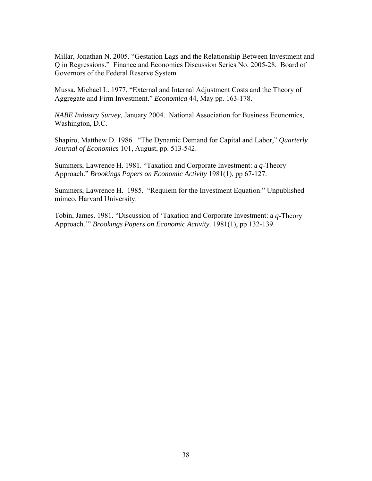Millar, Jonathan N. 2005. "Gestation Lags and the Relationship Between Investment and Q in Regressions." Finance and Economics Discussion Series No. 2005-28. Board of Governors of the Federal Reserve System.

Mussa, Michael L. 1977. "External and Internal Adjustment Costs and the Theory of Aggregate and Firm Investment." *Economica* 44, May pp. 163-178.

*NABE Industry Survey,* January 2004. National Association for Business Economics, Washington, D.C.

Shapiro, Matthew D. 1986. "The Dynamic Demand for Capital and Labor," *Quarterly Journal of Economics* 101, August, pp. 513-542.

Summers, Lawrence H. 1981. "Taxation and Corporate Investment: a *q*-Theory Approach." *Brookings Papers on Economic Activity* 1981(1), pp 67-127.

Summers, Lawrence H. 1985. "Requiem for the Investment Equation." Unpublished mimeo, Harvard University.

Tobin, James. 1981. "Discussion of 'Taxation and Corporate Investment: a *q*-Theory Approach.'" *Brookings Papers on Economic Activity*. 1981(1), pp 132-139.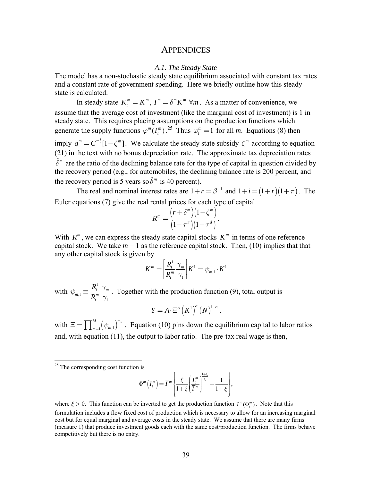# **APPENDICES**

#### *A.1. The Steady State*

The model has a non-stochastic steady state equilibrium associated with constant tax rates and a constant rate of government spending. Here we briefly outline how this steady state is calculated.

In steady state  $K_t^m = K^m$ ,  $I^m = \delta^m K^m \forall m$ . As a matter of convenience, we assume that the average cost of investment (like the marginal cost of investment) is 1 in steady state. This requires placing assumptions on the production functions which generate the supply functions  $\varphi^m(I_i^m)$ .<sup>25</sup> Thus  $\varphi_i^m = 1$  for all *m*. Equations (8) then imply  $q^m = C^{-\frac{1}{\sigma}}[1-\zeta^m]$ . We calculate the steady state subsidy  $\zeta^m$  according to equation (21) in the text with no bonus depreciation rate. The approximate tax depreciation rates  $\hat{\delta}^m$  are the ratio of the declining balance rate for the type of capital in question divided by the recovery period (e.g., for automobiles, the declining balance rate is 200 percent, and the recovery period is 5 years so  $\hat{\delta}^m$  is 40 percent).

The real and nominal interest rates are  $1 + r = \beta^{-1}$  and  $1 + i = (1 + r)(1 + \pi)$ . The Euler equations (7) give the real rental prices for each type of capital

$$
R^m = \frac{(r+\delta^m)(1-\zeta^m)}{(1-\tau^{\pi})(1-\tau^d)}.
$$

With  $R^m$ , we can express the steady state capital stocks  $K^m$  in terms of one reference capital stock. We take  $m = 1$  as the reference capital stock. Then, (10) implies that that any other capital stock is given by

$$
K^m = \left[\frac{R_t^1}{R_t^m} \frac{\gamma_m}{\gamma_1}\right] K^1 = \psi_{m,1} \cdot K^1
$$

with 1 ,1 1  $t_{m,1} \equiv \frac{R_t}{R_m} \frac{I_m}{R_m}$ *t R R*  $\psi_{m,1} \equiv \frac{R_t^1}{2m} \frac{\gamma}{m}$ *γ*  $\equiv \frac{R_t}{R}$ . Together with the production function (9), total output is

$$
Y = A \cdot \Xi^{\alpha} (K^1)^{\alpha} (N)^{1-\alpha}.
$$

with  $\Xi = \prod_{m=1}^{M} (\psi_{m,1})^{\gamma_m}$  $_{m=1}$  ( $\varphi_m$  $\Xi = \prod_{m=1}^{M} (\psi_{m,1})^{\gamma_m}$ . Equation (10) pins down the equilibrium capital to labor ratios and, with equation  $(11)$ , the output to labor ratio. The pre-tax real wage is then,

$$
\Phi^m(I_t^m) = \overline{I}^m \left\{ \frac{\xi}{1+\xi} \left( \frac{I_t^m}{\overline{I}^m} \right)^{\frac{1+\xi}{\xi}} + \frac{1}{1+\xi} \right\},\,
$$

where  $\xi > 0$ . This function can be inverted to get the production function  $I^m(\Phi_i^m)$ . Note that this formulation includes a flow fixed cost of production which is necessary to allow for an increasing marginal cost but for equal marginal and average costs in the steady state. We assume that there are many firms (measure 1) that produce investment goods each with the same cost/production function. The firms behave competitively but there is no entry.

 $25$  The corresponding cost function is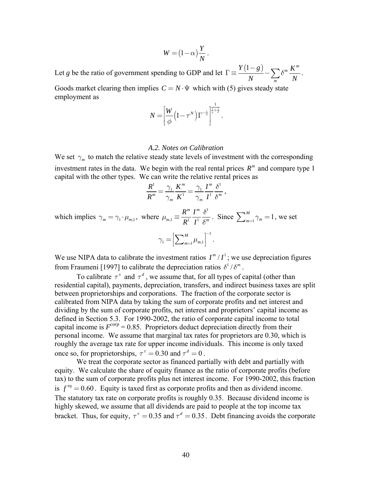$$
W = (1 - \alpha) \frac{Y}{N} \, .
$$

Let *g* be the ratio of government spending to GDP and let  $\Gamma = \frac{Y(1-g)}{I} - \sum_{n=1}^{\infty} \delta^m \frac{K^m}{I}$ *m*  $Y(1-g)$   $\sum_{\text{cm}} K$  $\Gamma \equiv \frac{Y(1-g)}{N} - \sum_{m} \delta^{m} \frac{K^{m}}{N}.$ 

Goods market clearing then implies  $C = N \cdot \Psi$  which with (5) gives steady state employment as

$$
N = \left[\frac{W}{\phi} \left(1 - \tau^N\right) \Gamma^{-\frac{1}{\sigma}}\right]^{\frac{1}{\frac{1}{\eta} + \frac{1}{\sigma}}}.
$$

## *A.2. Notes on Calibration*

We set  $\gamma_m$  to match the relative steady state levels of investment with the corresponding investment rates in the data. We begin with the real rental prices  $R<sup>m</sup>$  and compare type 1 capital with the other types. We can write the relative rental prices as

$$
\frac{R^1}{R^m} = \frac{\gamma_1}{\gamma_m} \frac{K^m}{K^1} = \frac{\gamma_1}{\gamma_m} \frac{I^m}{I^1} \frac{\delta^1}{\delta^m},
$$

which implies  $\gamma_m = \gamma_1 \cdot \mu_{m,1}$ , where 1  $a_{11} - a_{11}$ *m m*  $m, l = p1$  **r**  $m$  $R^m$  1  $R^1$  *I*  $\mu_{m,1} \equiv \frac{R^m}{R^1} \frac{I^m}{I^1} \frac{\delta^1}{\delta^m}$ . Since  $\sum_{m=1}^M \gamma_m = 1$ , we set 1  $1 - \sum_{m=1}^{\infty} \mu_{m,1}$  $\gamma_1 = \left[ \sum_{m=1}^{M} \mu_{m,1} \right]^{-1}$  $=\left[\sum_{m=1}^{M} \mu_{m,1}\right]^{-1}.$ 

We use NIPA data to calibrate the investment ratios  $I^m / I^1$ ; we use depreciation figures from Fraumeni [1997] to calibrate the depreciation ratios  $\delta^1 / \delta^m$ .

To calibrate  $\tau^{\pi}$  and  $\tau^{d}$ , we assume that, for all types of capital (other than residential capital), payments, depreciation, transfers, and indirect business taxes are split between proprietorships and corporations. The fraction of the corporate sector is calibrated from NIPA data by taking the sum of corporate profits and net interest and dividing by the sum of corporate profits, net interest and proprietors' capital income as defined in Section 5.3. For 1990-2002, the ratio of corporate capital income to total capital income is  $F^{corp} = 0.85$ . Proprietors deduct depreciation directly from their personal income. We assume that marginal tax rates for proprietors are 0.30, which is roughly the average tax rate for upper income individuals. This income is only taxed once so, for proprietorships,  $\tau^* = 0.30$  and  $\tau^d = 0$ .

We treat the corporate sector as financed partially with debt and partially with equity. We calculate the share of equity finance as the ratio of corporate profits (before tax) to the sum of corporate profits plus net interest income. For 1990-2002, this fraction is  $f^{eq} = 0.60$ . Equity is taxed first as corporate profits and then as dividend income. The statutory tax rate on corporate profits is roughly 0.35. Because dividend income is highly skewed, we assume that all dividends are paid to people at the top income tax bracket. Thus, for equity,  $\tau^{\pi} = 0.35$  and  $\tau^{\mu} = 0.35$ . Debt financing avoids the corporate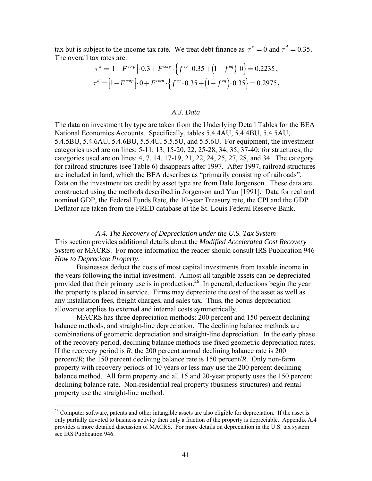tax but is subject to the income tax rate. We treat debt finance as  $\tau^* = 0$  and  $\tau^d = 0.35$ . The overall tax rates are:

$$
\tau^{\pi} = [1 - F^{cop}] \cdot 0.3 + F^{cop} \cdot \{ f^{eq} \cdot 0.35 + (1 - f^{eq}) \cdot 0 \} = 0.2235,
$$
  

$$
\tau^d = [1 - F^{cop}] \cdot 0 + F^{cop} \cdot \{ f^{eq} \cdot 0.35 + (1 - f^{eq}) \cdot 0.35 \} = 0.2975.
$$

#### *A.3. Data*

The data on investment by type are taken from the Underlying Detail Tables for the BEA National Economics Accounts. Specifically, tables 5.4.4AU, 5.4.4BU, 5.4.5AU, 5.4.5BU, 5.4.6AU, 5.4.6BU, 5.5.4U, 5.5.5U, and 5.5.6U. For equipment, the investment categories used are on lines: 5-11, 13, 15-20, 22, 25-28, 34, 35, 37-40; for structures, the categories used are on lines: 4, 7, 14, 17-19, 21, 22, 24, 25, 27, 28, and 34. The category for railroad structures (see Table 6) disappears after 1997. After 1997, railroad structures are included in land, which the BEA describes as "primarily consisting of railroads". Data on the investment tax credit by asset type are from Dale Jorgenson. These data are constructed using the methods described in Jorgenson and Yun [1991]. Data for real and nominal GDP, the Federal Funds Rate, the 10-year Treasury rate, the CPI and the GDP Deflator are taken from the FRED database at the St. Louis Federal Reserve Bank.

*A.4. The Recovery of Depreciation under the U.S. Tax System*  This section provides additional details about the *Modified Accelerated Cost Recovery System* or MACRS. For more information the reader should consult IRS Publication 946 *How to Depreciate Property*.

Businesses deduct the costs of most capital investments from taxable income in the years following the initial investment. Almost all tangible assets can be depreciated provided that their primary use is in production.<sup>26</sup> In general, deductions begin the year the property is placed in service. Firms may depreciate the cost of the asset as well as any installation fees, freight charges, and sales tax. Thus, the bonus depreciation allowance applies to external and internal costs symmetrically.

MACRS has three depreciation methods: 200 percent and 150 percent declining balance methods, and straight-line depreciation. The declining balance methods are combinations of geometric depreciation and straight-line depreciation. In the early phase of the recovery period, declining balance methods use fixed geometric depreciation rates. If the recovery period is *R*, the 200 percent annual declining balance rate is 200 percent/*R*; the 150 percent declining balance rate is 150 percent/*R*. Only non-farm property with recovery periods of 10 years or less may use the 200 percent declining balance method. All farm property and all 15 and 20-year property uses the 150 percent declining balance rate. Non-residential real property (business structures) and rental property use the straight-line method.

 $\overline{a}$ 

<sup>&</sup>lt;sup>26</sup> Computer software, patents and other intangible assets are also eligible for depreciation. If the asset is only partially devoted to business activity then only a fraction of the property is depreciable. Appendix A.4 provides a more detailed discussion of MACRS. For more details on depreciation in the U.S. tax system see IRS Publication 946.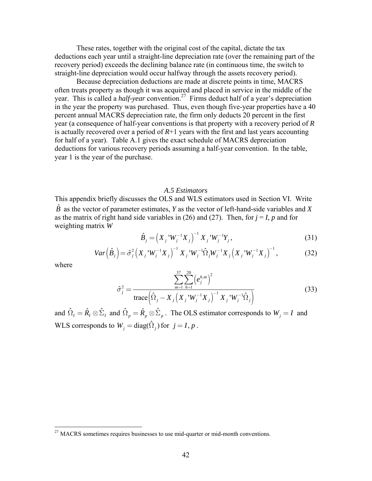These rates, together with the original cost of the capital, dictate the tax deductions each year until a straight-line depreciation rate (over the remaining part of the recovery period) exceeds the declining balance rate (in continuous time, the switch to straight-line depreciation would occur halfway through the assets recovery period).

Because depreciation deductions are made at discrete points in time, MACRS often treats property as though it was acquired and placed in service in the middle of the year. This is called a *half-year* convention.<sup>27</sup> Firms deduct half of a year's depreciation in the year the property was purchased. Thus, even though five-year properties have a 40 percent annual MACRS depreciation rate, the firm only deducts 20 percent in the first year (a consequence of half-year conventions is that property with a recovery period of *R* is actually recovered over a period of  $R+1$  years with the first and last years accounting for half of a year). Table A.1 gives the exact schedule of MACRS depreciation deductions for various recovery periods assuming a half-year convention. In the table, year 1 is the year of the purchase.

### *A.5 Estimators*

This appendix briefly discusses the OLS and WLS estimators used in Section VI. Write  $\hat{B}$  as the vector of parameter estimates, *Y* as the vector of left-hand-side variables and *X* as the matrix of right hand side variables in (26) and (27). Then, for  $j = I$ ,  $p$  and for weighting matrix *W*

$$
\hat{B}_j = \left(X_j \, {}^{t}W_j^{-1}X_j\right)^{-1} X_j \, {}^{t}W_j^{-1}Y_j,\tag{31}
$$

$$
Var\left(\hat{B}_j\right) = \hat{\sigma}_j^2 \left(X_j W_j^{-1} X_j\right)^{-1} X_j W_j^{-1} \hat{\Omega}_j W_j^{-1} X_j \left(X_j W_j^{-1} X_j\right)^{-1},
$$
\n(32)

where

 $\overline{a}$ 

$$
\hat{\sigma}_j^2 = \frac{\sum_{m=1}^{37} \sum_{h=1}^{20} (e_j^{h,m})^2}{\text{trace}\left(\hat{\Omega}_j - X_j \left(X_j \, {}^t W_j^{-1} X_j\right)^{-1} X_j \, {}^t W_j^{-1} \hat{\Omega}_j\right)}
$$
(33)

and  $\hat{\Omega}_I = \hat{R}_I \otimes \hat{\Sigma}_I$  and  $\hat{\Omega}_p = \hat{R}_p \otimes \hat{\Sigma}_p$ . The OLS estimator corresponds to  $W_i = I$  and WLS corresponds to  $W_i = \text{diag}(\hat{\Omega}_i)$  for  $j = I, p$ .

 $27$  MACRS sometimes requires businesses to use mid-quarter or mid-month conventions.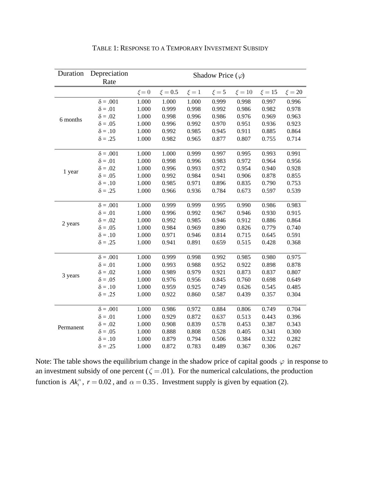| Duration  | Depreciation<br>Rate | Shadow Price $(\varphi)$ |             |           |           |            |          |          |  |
|-----------|----------------------|--------------------------|-------------|-----------|-----------|------------|----------|----------|--|
|           |                      | $\xi = 0$                | $\xi = 0.5$ | $\xi = 1$ | $\xi = 5$ | $\xi = 10$ | $\xi=15$ | $\xi=20$ |  |
|           | $\delta = .001$      | 1.000                    | 1.000       | 1.000     | 0.999     | 0.998      | 0.997    | 0.996    |  |
|           | $\delta = .01$       | 1.000                    | 0.999       | 0.998     | 0.992     | 0.986      | 0.982    | 0.978    |  |
| 6 months  | $\delta = .02$       | 1.000                    | 0.998       | 0.996     | 0.986     | 0.976      | 0.969    | 0.963    |  |
|           | $\delta = .05$       | 1.000                    | 0.996       | 0.992     | 0.970     | 0.951      | 0.936    | 0.923    |  |
|           | $\delta = .10$       | 1.000                    | 0.992       | 0.985     | 0.945     | 0.911      | 0.885    | 0.864    |  |
|           | $\delta = .25$       | 1.000                    | 0.982       | 0.965     | 0.877     | 0.807      | 0.755    | 0.714    |  |
|           | $\delta = .001$      | 1.000                    | 1.000       | 0.999     | 0.997     | 0.995      | 0.993    | 0.991    |  |
|           | $\delta = .01$       | 1.000                    | 0.998       | 0.996     | 0.983     | 0.972      | 0.964    | 0.956    |  |
| 1 year    | $\delta = .02$       | 1.000                    | 0.996       | 0.993     | 0.972     | 0.954      | 0.940    | 0.928    |  |
|           | $\delta = .05$       | 1.000                    | 0.992       | 0.984     | 0.941     | 0.906      | 0.878    | 0.855    |  |
|           | $\delta = .10$       | 1.000                    | 0.985       | 0.971     | 0.896     | 0.835      | 0.790    | 0.753    |  |
|           | $\delta = .25$       | 1.000                    | 0.966       | 0.936     | 0.784     | 0.673      | 0.597    | 0.539    |  |
|           | $\delta = .001$      | 1.000                    | 0.999       | 0.999     | 0.995     | 0.990      | 0.986    | 0.983    |  |
|           | $\delta = .01$       | 1.000                    | 0.996       | 0.992     | 0.967     | 0.946      | 0.930    | 0.915    |  |
| 2 years   | $\delta = .02$       | 1.000                    | 0.992       | 0.985     | 0.946     | 0.912      | 0.886    | 0.864    |  |
|           | $\delta = .05$       | 1.000                    | 0.984       | 0.969     | 0.890     | 0.826      | 0.779    | 0.740    |  |
|           | $\delta = .10$       | 1.000                    | 0.971       | 0.946     | 0.814     | 0.715      | 0.645    | 0.591    |  |
|           | $\delta = .25$       | 1.000                    | 0.941       | 0.891     | 0.659     | 0.515      | 0.428    | 0.368    |  |
|           | $\delta = .001$      | 1.000                    | 0.999       | 0.998     | 0.992     | 0.985      | 0.980    | 0.975    |  |
|           | $\delta = .01$       | 1.000                    | 0.993       | 0.988     | 0.952     | 0.922      | 0.898    | 0.878    |  |
| 3 years   | $\delta = .02$       | 1.000                    | 0.989       | 0.979     | 0.921     | 0.873      | 0.837    | 0.807    |  |
|           | $\delta = .05$       | 1.000                    | 0.976       | 0.956     | 0.845     | 0.760      | 0.698    | 0.649    |  |
|           | $\delta = .10$       | 1.000                    | 0.959       | 0.925     | 0.749     | 0.626      | 0.545    | 0.485    |  |
|           | $\delta = .25$       | 1.000                    | 0.922       | 0.860     | 0.587     | 0.439      | 0.357    | 0.304    |  |
|           | $\delta = .001$      | $1.000\,$                | 0.986       | 0.972     | 0.884     | 0.806      | 0.749    | 0.704    |  |
|           | $\delta = .01$       | 1.000                    | 0.929       | 0.872     | 0.637     | 0.513      | 0.443    | 0.396    |  |
|           | $\delta = .02$       | 1.000                    | 0.908       | 0.839     | 0.578     | 0.453      | 0.387    | 0.343    |  |
| Permanent | $\delta = .05$       | 1.000                    | 0.888       | 0.808     | 0.528     | 0.405      | 0.341    | 0.300    |  |
|           | $\delta = .10$       | 1.000                    | 0.879       | 0.794     | 0.506     | 0.384      | 0.322    | 0.282    |  |
|           | $\delta = .25$       | 1.000                    | 0.872       | 0.783     | 0.489     | 0.367      | 0.306    | 0.267    |  |

TABLE 1: RESPONSE TO A TEMPORARY INVESTMENT SUBSIDY

Note: The table shows the equilibrium change in the shadow price of capital goods  $\varphi$  in response to an investment subsidy of one percent ( $\zeta = .01$ ). For the numerical calculations, the production function is  $Ak_t^{\alpha}$ ,  $r = 0.02$ , and  $\alpha = 0.35$ . Investment supply is given by equation (2).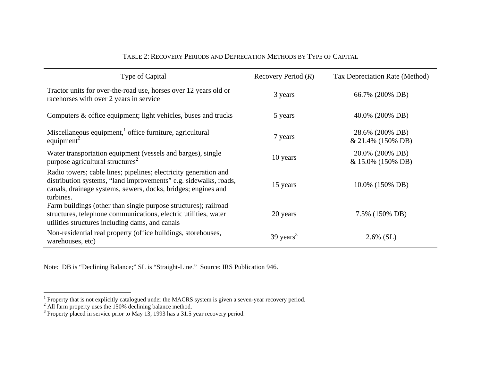| Type of Capital                                                                                                                                                                                                    | Recovery Period $(R)$ | Tax Depreciation Rate (Method)           |
|--------------------------------------------------------------------------------------------------------------------------------------------------------------------------------------------------------------------|-----------------------|------------------------------------------|
| Tractor units for over-the-road use, horses over 12 years old or<br>racehorses with over 2 years in service                                                                                                        | 3 years               | 66.7% (200% DB)                          |
| Computers & office equipment; light vehicles, buses and trucks                                                                                                                                                     | 5 years               | 40.0% (200% DB)                          |
| Miscellaneous equipment, <sup>1</sup> office furniture, agricultural<br>equipment <sup>2</sup>                                                                                                                     | 7 years               | 28.6% (200% DB)<br>$& 21.4\% (150\% DB)$ |
| Water transportation equipment (vessels and barges), single<br>purpose agricultural structures <sup>2</sup>                                                                                                        | 10 years              | 20.0% (200% DB)<br>$& 15.0\% (150\% DB)$ |
| Radio towers; cable lines; pipelines; electricity generation and<br>distribution systems, "land improvements" e.g. sidewalks, roads,<br>canals, drainage systems, sewers, docks, bridges; engines and<br>turbines. | 15 years              | 10.0% (150% DB)                          |
| Farm buildings (other than single purpose structures); railroad<br>structures, telephone communications, electric utilities, water<br>utilities structures including dams, and canals                              | 20 years              | 7.5% (150% DB)                           |
| Non-residential real property (office buildings, storehouses,<br>warehouses, etc)                                                                                                                                  | 39 years $3$          | $2.6\%$ (SL)                             |

# TABLE 2: RECOVERY PERIODS AND DEPRECATION METHODS BY TYPE OF CAPITAL

Note: DB is "Declining Balance;" SL is "Straight-Line." Source: IRS Publication 946.

 $1$  Property that is not explicitly catalogued under the MACRS system is given a seven-year recovery period.

 $2$  All farm property uses the 150% declining balance method.

 $3$  Property placed in service prior to May 13, 1993 has a 31.5 year recovery period.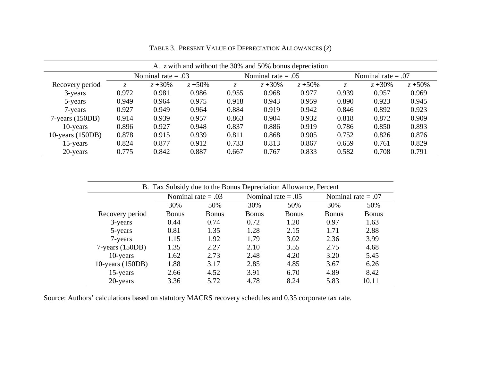| A. <i>z</i> with and without the 30% and 50% bonus depreciation |                                              |            |            |       |                      |            |       |            |            |
|-----------------------------------------------------------------|----------------------------------------------|------------|------------|-------|----------------------|------------|-------|------------|------------|
|                                                                 | Nominal rate $= .05$<br>Nominal rate $= .03$ |            |            |       | Nominal rate $= .07$ |            |       |            |            |
| Recovery period                                                 |                                              | $z + 30\%$ | $z + 50\%$ | Z.    | $z + 30\%$           | $z + 50\%$ | Z.    | $z + 30\%$ | $z + 50\%$ |
| 3-years                                                         | 0.972                                        | 0.981      | 0.986      | 0.955 | 0.968                | 0.977      | 0.939 | 0.957      | 0.969      |
| 5-years                                                         | 0.949                                        | 0.964      | 0.975      | 0.918 | 0.943                | 0.959      | 0.890 | 0.923      | 0.945      |
| 7-years                                                         | 0.927                                        | 0.949      | 0.964      | 0.884 | 0.919                | 0.942      | 0.846 | 0.892      | 0.923      |
| $7$ -years $(150DB)$                                            | 0.914                                        | 0.939      | 0.957      | 0.863 | 0.904                | 0.932      | 0.818 | 0.872      | 0.909      |
| 10-years                                                        | 0.896                                        | 0.927      | 0.948      | 0.837 | 0.886                | 0.919      | 0.786 | 0.850      | 0.893      |
| 10-years (150DB)                                                | 0.878                                        | 0.915      | 0.939      | 0.811 | 0.868                | 0.905      | 0.752 | 0.826      | 0.876      |
| 15-years                                                        | 0.824                                        | 0.877      | 0.912      | 0.733 | 0.813                | 0.867      | 0.659 | 0.761      | 0.829      |
| 20-years                                                        | 0.775                                        | 0.842      | 0.887      | 0.667 | 0.767                | 0.833      | 0.582 | 0.708      | 0.791      |

TABLE 3. PRESENT VALUE OF DEPRECIATION ALLOWANCES (*Z*)

|                    |              | Nominal rate $= .03$ |              | Nominal rate $= .05$ | Nominal rate $= .07$ |              |
|--------------------|--------------|----------------------|--------------|----------------------|----------------------|--------------|
|                    | 30%          | 50%                  | 30%          | 50%                  | 30%                  | 50%          |
| Recovery period    | <b>Bonus</b> | <b>Bonus</b>         | <b>Bonus</b> | <b>Bonus</b>         | <b>Bonus</b>         | <b>Bonus</b> |
| 3-years            | 0.44         | 0.74                 | 0.72         | 1.20                 | 0.97                 | 1.63         |
| 5-years            | 0.81         | 1.35                 | 1.28         | 2.15                 | 1.71                 | 2.88         |
| 7-years            | 1.15         | 1.92                 | 1.79         | 3.02                 | 2.36                 | 3.99         |
| $7$ -years (150DB) | 1.35         | 2.27                 | 2.10         | 3.55                 | 2.75                 | 4.68         |
| 10-years           | 1.62         | 2.73                 | 2.48         | 4.20                 | 3.20                 | 5.45         |
| 10-years (150DB)   | 1.88         | 3.17                 | 2.85         | 4.85                 | 3.67                 | 6.26         |
| 15-years           | 2.66         | 4.52                 | 3.91         | 6.70                 | 4.89                 | 8.42         |
| 20-years           | 3.36         | 5.72                 | 4.78         | 8.24                 | 5.83                 | 10.11        |

Source: Authors' calculations based on statutory MACRS recovery schedules and 0.35 corporate tax rate.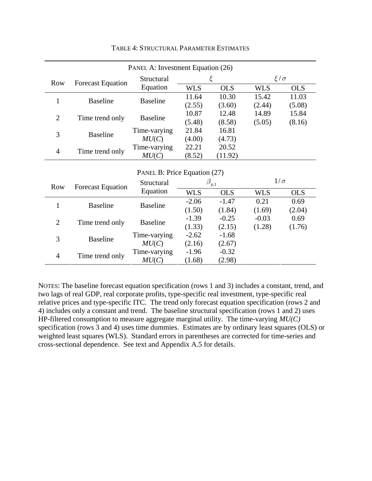| PANEL A: Investment Equation (26) |                          |                 |            |            |              |            |  |  |  |
|-----------------------------------|--------------------------|-----------------|------------|------------|--------------|------------|--|--|--|
| Row                               | <b>Forecast Equation</b> | Structural      |            |            | $\xi/\sigma$ |            |  |  |  |
|                                   |                          | Equation        | <b>WLS</b> | <b>OLS</b> | <b>WLS</b>   | <b>OLS</b> |  |  |  |
|                                   | <b>Baseline</b>          | <b>Baseline</b> | 11.64      | 10.30      | 15.42        | 11.03      |  |  |  |
|                                   |                          | (2.55)          | (3.60)     | (2.44)     | (5.08)       |            |  |  |  |
| $\overline{2}$                    |                          |                 | 10.87      | 12.48      | 14.89        | 15.84      |  |  |  |
|                                   | Time trend only          | <b>Baseline</b> | (5.48)     | (8.58)     | (5.05)       | (8.16)     |  |  |  |
|                                   |                          | Time-varying    | 21.84      | 16.81      |              |            |  |  |  |
| 3<br><b>Baseline</b>              |                          | MU(C)           | (4.00)     | (4.73)     |              |            |  |  |  |
|                                   |                          | Time-varying    | 22.21      | 20.52      |              |            |  |  |  |
| $\overline{4}$                    | Time trend only          | MU(C)           | (8.52)     | (11.92)    |              |            |  |  |  |

## TABLE 4: STRUCTURAL PARAMETER ESTIMATES

| PANEL B: Price Equation (27) |  |
|------------------------------|--|
|------------------------------|--|

| Row            | <b>Forecast Equation</b> | Structural      | $\beta_{_{p,1}}$ |            | $1/\sigma$ |            |
|----------------|--------------------------|-----------------|------------------|------------|------------|------------|
|                |                          | Equation        | <b>WLS</b>       | <b>OLS</b> | <b>WLS</b> | <b>OLS</b> |
|                | <b>Baseline</b>          | <b>Baseline</b> | $-2.06$          | $-1.47$    | 0.21       | 0.69       |
|                |                          | (1.50)          | (1.84)           | (1.69)     | (2.04)     |            |
| 2              | Time trend only          | <b>Baseline</b> | $-1.39$          | $-0.25$    | $-0.03$    | 0.69       |
|                |                          |                 | (1.33)           | (2.15)     | (1.28)     | (1.76)     |
| 3              | <b>Baseline</b>          | Time-varying    | $-2.62$          | $-1.68$    |            |            |
|                |                          | MU(C)           | (2.16)           | (2.67)     |            |            |
| $\overline{4}$ | Time trend only          | Time-varying    | $-1.96$          | $-0.32$    |            |            |
|                |                          | MU(C)           | (1.68)           | (2.98)     |            |            |

NOTES: The baseline forecast equation specification (rows 1 and 3) includes a constant, trend, and two lags of real GDP, real corporate profits, type-specific real investment, type-specific real relative prices and type-specific ITC. The trend only forecast equation specification (rows 2 and 4) includes only a constant and trend. The baseline structural specification (rows 1 and 2) uses HP-filtered consumption to measure aggregate marginal utility. The time-varying *MU(C)* specification (rows 3 and 4) uses time dummies. Estimates are by ordinary least squares (OLS) or weighted least squares (WLS). Standard errors in parentheses are corrected for time-series and cross-sectional dependence. See text and Appendix A.5 for details.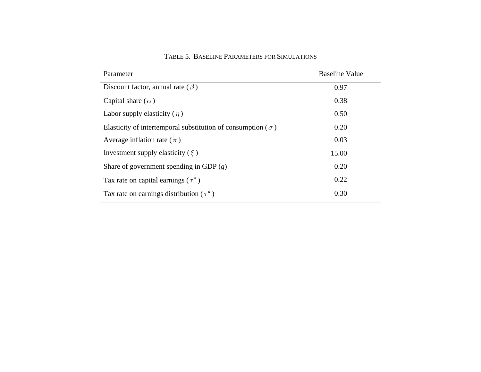| Parameter                                                            | <b>Baseline Value</b> |
|----------------------------------------------------------------------|-----------------------|
| Discount factor, annual rate ( $\beta$ )                             | 0.97                  |
| Capital share ( $\alpha$ )                                           | 0.38                  |
| Labor supply elasticity $(\eta)$                                     | 0.50                  |
| Elasticity of intertemporal substitution of consumption ( $\sigma$ ) | 0.20                  |
| Average inflation rate ( $\pi$ )                                     | 0.03                  |
| Investment supply elasticity $(\xi)$                                 | 15.00                 |
| Share of government spending in GDP $(g)$                            | 0.20                  |
| Tax rate on capital earnings ( $\tau^{\pi}$ )                        | 0.22                  |
| Tax rate on earnings distribution ( $\tau^d$ )                       | 0.30                  |

TABLE 5. BASELINE PARAMETERS FOR SIMULATIONS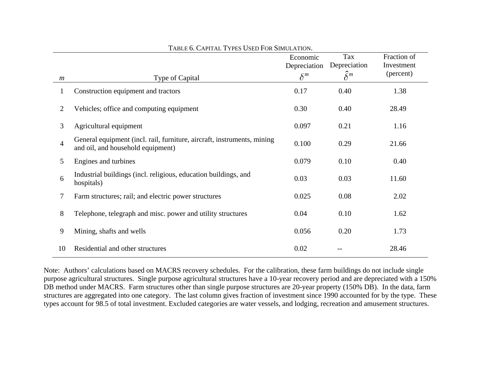|                |                                                                                                              | Economic<br>Depreciation | Tax<br>Depreciation | Fraction of<br>Investment |
|----------------|--------------------------------------------------------------------------------------------------------------|--------------------------|---------------------|---------------------------|
| $\mathfrak{m}$ | Type of Capital                                                                                              | $\delta^m$               | $\hat{\delta}^m$    | (percent)                 |
| 1              | Construction equipment and tractors                                                                          | 0.17                     | 0.40                | 1.38                      |
| 2              | Vehicles; office and computing equipment                                                                     | 0.30                     | 0.40                | 28.49                     |
| 3              | Agricultural equipment                                                                                       | 0.097                    | 0.21                | 1.16                      |
| $\overline{4}$ | General equipment (incl. rail, furniture, aircraft, instruments, mining<br>and oil, and household equipment) | 0.100                    | 0.29                | 21.66                     |
| 5              | Engines and turbines                                                                                         | 0.079                    | 0.10                | 0.40                      |
| 6              | Industrial buildings (incl. religious, education buildings, and<br>hospitals)                                | 0.03                     | 0.03                | 11.60                     |
| 7              | Farm structures; rail; and electric power structures                                                         | 0.025                    | 0.08                | 2.02                      |
| 8              | Telephone, telegraph and misc. power and utility structures                                                  | 0.04                     | 0.10                | 1.62                      |
| 9              | Mining, shafts and wells                                                                                     | 0.056                    | 0.20                | 1.73                      |
| 10             | Residential and other structures                                                                             | 0.02                     |                     | 28.46                     |

TABLE 6. CAPITAL TYPES USED FOR SIMULATION.

Note: Authors' calculations based on MACRS recovery schedules. For the calibration, these farm buildings do not include single purpose agricultural structures. Single purpose agricultural structures have a 10-year recovery period and are depreciated with a 150% DB method under MACRS. Farm structures other than single purpose structures are 20-year property (150% DB). In the data, farm structures are aggregated into one category. The last column gives fraction of investment since 1990 accounted for by the type. These types account for 98.5 of total investment. Excluded categories are water vessels, and lodging, recreation and amusement structures.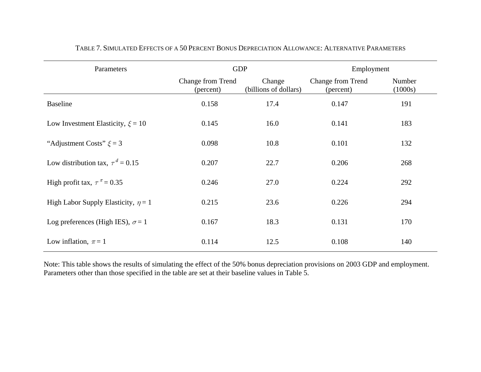| Parameters                               | <b>GDP</b>                     |                                 | Employment                     |                   |  |
|------------------------------------------|--------------------------------|---------------------------------|--------------------------------|-------------------|--|
|                                          | Change from Trend<br>(percent) | Change<br>(billions of dollars) | Change from Trend<br>(percent) | Number<br>(1000s) |  |
| <b>Baseline</b>                          | 0.158                          | 17.4                            | 0.147                          | 191               |  |
| Low Investment Elasticity, $\xi = 10$    | 0.145                          | 16.0                            | 0.141                          | 183               |  |
| "Adjustment Costs" $\xi = 3$             | 0.098                          | 10.8                            | 0.101                          | 132               |  |
| Low distribution tax, $\tau^d = 0.15$    | 0.207                          | 22.7                            | 0.206                          | 268               |  |
| High profit tax, $\tau^{\pi} = 0.35$     | 0.246                          | 27.0                            | 0.224                          | 292               |  |
| High Labor Supply Elasticity, $\eta = 1$ | 0.215                          | 23.6                            | 0.226                          | 294               |  |
| Log preferences (High IES), $\sigma = 1$ | 0.167                          | 18.3                            | 0.131                          | 170               |  |
| Low inflation, $\pi = 1$                 | 0.114                          | 12.5                            | 0.108                          | 140               |  |

TABLE 7. SIMULATED EFFECTS OF A 50 PERCENT BONUS DEPRECIATION ALLOWANCE: ALTERNATIVE PARAMETERS

Note: This table shows the results of simulating the effect of the 50% bonus depreciation provisions on 2003 GDP and employment. Parameters other than those specified in the table are set at their baseline values in Table 5.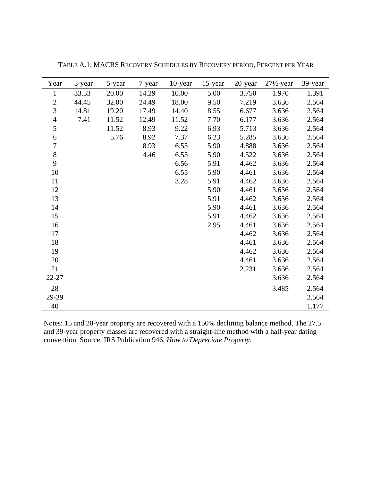| Year             | 3-year | 5-year | 7-year | 10-year | 15-year | 20-year | $27\frac{1}{2}$ -year | 39-year |
|------------------|--------|--------|--------|---------|---------|---------|-----------------------|---------|
| 1                | 33.33  | 20.00  | 14.29  | 10.00   | 5.00    | 3.750   | 1.970                 | 1.391   |
| $\overline{c}$   | 44.45  | 32.00  | 24.49  | 18.00   | 9.50    | 7.219   | 3.636                 | 2.564   |
| 3                | 14.81  | 19.20  | 17.49  | 14.40   | 8.55    | 6.677   | 3.636                 | 2.564   |
| $\overline{4}$   | 7.41   | 11.52  | 12.49  | 11.52   | 7.70    | 6.177   | 3.636                 | 2.564   |
| 5                |        | 11.52  | 8.93   | 9.22    | 6.93    | 5.713   | 3.636                 | 2.564   |
| 6                |        | 5.76   | 8.92   | 7.37    | 6.23    | 5.285   | 3.636                 | 2.564   |
| $\boldsymbol{7}$ |        |        | 8.93   | 6.55    | 5.90    | 4.888   | 3.636                 | 2.564   |
| 8                |        |        | 4.46   | 6.55    | 5.90    | 4.522   | 3.636                 | 2.564   |
| 9                |        |        |        | 6.56    | 5.91    | 4.462   | 3.636                 | 2.564   |
| 10               |        |        |        | 6.55    | 5.90    | 4.461   | 3.636                 | 2.564   |
| 11               |        |        |        | 3.28    | 5.91    | 4.462   | 3.636                 | 2.564   |
| 12               |        |        |        |         | 5.90    | 4.461   | 3.636                 | 2.564   |
| 13               |        |        |        |         | 5.91    | 4.462   | 3.636                 | 2.564   |
| 14               |        |        |        |         | 5.90    | 4.461   | 3.636                 | 2.564   |
| 15               |        |        |        |         | 5.91    | 4.462   | 3.636                 | 2.564   |
| 16               |        |        |        |         | 2.95    | 4.461   | 3.636                 | 2.564   |
| 17               |        |        |        |         |         | 4.462   | 3.636                 | 2.564   |
| 18               |        |        |        |         |         | 4.461   | 3.636                 | 2.564   |
| 19               |        |        |        |         |         | 4.462   | 3.636                 | 2.564   |
| 20               |        |        |        |         |         | 4.461   | 3.636                 | 2.564   |
| 21               |        |        |        |         |         | 2.231   | 3.636                 | 2.564   |
| 22-27            |        |        |        |         |         |         | 3.636                 | 2.564   |
| 28               |        |        |        |         |         |         | 3.485                 | 2.564   |
| 29-39            |        |        |        |         |         |         |                       | 2.564   |
| 40               |        |        |        |         |         |         |                       | 1.177   |

TABLE A.1: MACRS RECOVERY SCHEDULES BY RECOVERY PERIOD, PERCENT PER YEAR

Notes: 15 and 20-year property are recovered with a 150% declining balance method. The 27.5 and 39-year property classes are recovered with a straight-line method with a half-year dating convention. Source: IRS Publication 946, *How to Depreciate Property*.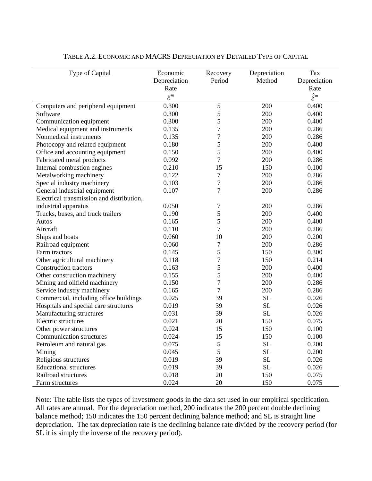| Type of Capital                           | Economic<br>Depreciation | Recovery<br>Period | Depreciation<br>Method | Tax<br>Depreciation |
|-------------------------------------------|--------------------------|--------------------|------------------------|---------------------|
|                                           | Rate                     |                    |                        | Rate                |
|                                           | $\delta^m$               |                    |                        | $\hat{\delta}^m$    |
| Computers and peripheral equipment        | 0.300                    | 5                  | 200                    | 0.400               |
| Software                                  | 0.300                    | 5                  | 200                    | 0.400               |
| Communication equipment                   | 0.300                    | 5                  | 200                    | 0.400               |
| Medical equipment and instruments         | 0.135                    | 7                  | 200                    | 0.286               |
| Nonmedical instruments                    | 0.135                    | 7                  | 200                    | 0.286               |
| Photocopy and related equipment           | 0.180                    | 5                  | 200                    | 0.400               |
| Office and accounting equipment           | 0.150                    | 5                  | 200                    | 0.400               |
| Fabricated metal products                 | 0.092                    | 7                  | 200                    | 0.286               |
| Internal combustion engines               | 0.210                    | 15                 | 150                    | 0.100               |
| Metalworking machinery                    | 0.122                    | $\boldsymbol{7}$   | 200                    | 0.286               |
| Special industry machinery                | 0.103                    | $\overline{7}$     | 200                    | 0.286               |
| General industrial equipment              | 0.107                    | 7                  | 200                    | 0.286               |
| Electrical transmission and distribution, |                          |                    |                        |                     |
| industrial apparatus                      | 0.050                    | 7                  | 200                    | 0.286               |
| Trucks, buses, and truck trailers         | 0.190                    | 5                  | 200                    | 0.400               |
| Autos                                     | 0.165                    | 5                  | 200                    | 0.400               |
| Aircraft                                  | 0.110                    | 7                  | 200                    | 0.286               |
| Ships and boats                           | 0.060                    | 10                 | 200                    | 0.200               |
| Railroad equipment                        | 0.060                    | 7                  | 200                    | 0.286               |
| Farm tractors                             | 0.145                    | 5                  | 150                    | 0.300               |
| Other agricultural machinery              | 0.118                    | 7                  | 150                    | 0.214               |
| <b>Construction tractors</b>              | 0.163                    | 5                  | 200                    | 0.400               |
| Other construction machinery              | 0.155                    | 5                  | 200                    | 0.400               |
| Mining and oilfield machinery             | 0.150                    | 7                  | 200                    | 0.286               |
| Service industry machinery                | 0.165                    | $\overline{7}$     | 200                    | 0.286               |
| Commercial, including office buildings    | 0.025                    | 39                 | <b>SL</b>              | 0.026               |
| Hospitals and special care structures     | 0.019                    | 39                 | $\rm SL$               | 0.026               |
| Manufacturing structures                  | 0.031                    | 39                 | <b>SL</b>              | 0.026               |
| Electric structures                       | 0.021                    | 20                 | 150                    | 0.075               |
| Other power structures                    | 0.024                    | 15                 | 150                    | 0.100               |
| Communication structures                  | 0.024                    | 15                 | 150                    | 0.100               |
| Petroleum and natural gas                 | 0.075                    | $\mathfrak{S}$     | $\rm SL$               | 0.200               |
| Mining                                    | 0.045                    | 5                  | SL                     | 0.200               |
| Religious structures                      | 0.019                    | 39                 | SL                     | 0.026               |
| <b>Educational structures</b>             | 0.019                    | 39                 | SL                     | 0.026               |
| Railroad structures                       | 0.018                    | 20                 | 150                    | 0.075               |
| Farm structures                           | 0.024                    | 20                 | 150                    | 0.075               |

## TABLE A.2. ECONOMIC AND MACRS DEPRECIATION BY DETAILED TYPE OF CAPITAL

Note: The table lists the types of investment goods in the data set used in our empirical specification. All rates are annual. For the depreciation method, 200 indicates the 200 percent double declining balance method; 150 indicates the 150 percent declining balance method; and SL is straight line depreciation. The tax depreciation rate is the declining balance rate divided by the recovery period (for SL it is simply the inverse of the recovery period).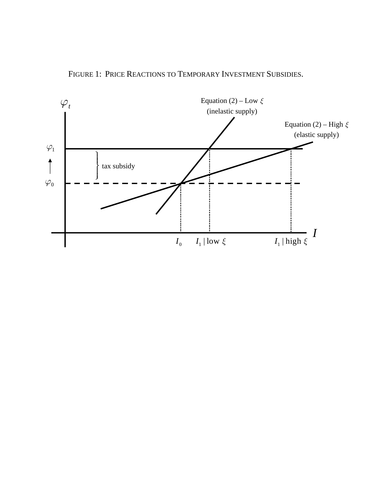FIGURE 1: PRICE REACTIONS TO TEMPORARY INVESTMENT SUBSIDIES.

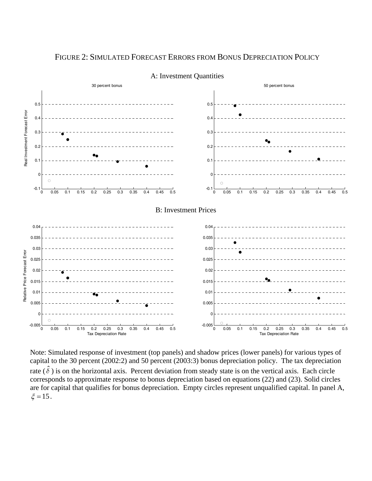



Note: Simulated response of investment (top panels) and shadow prices (lower panels) for various types of capital to the 30 percent (2002:2) and 50 percent (2003:3) bonus depreciation policy. The tax depreciation rate  $(\hat{\delta})$  is on the horizontal axis. Percent deviation from steady state is on the vertical axis. Each circle corresponds to approximate response to bonus depreciation based on equations (22) and (23). Solid circles are for capital that qualifies for bonus depreciation. Empty circles represent unqualified capital. In panel A,  $\xi = 15$ .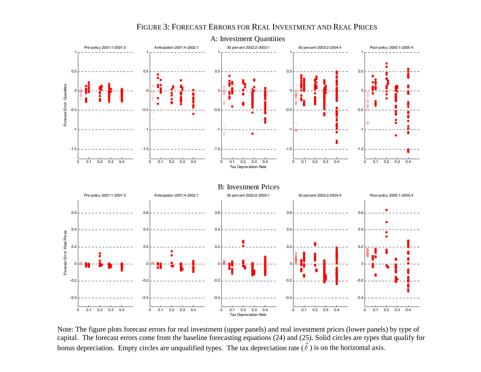

## FIGURE 3: FORECAST ERRORS FOR REAL INVESTMENT AND REAL PRICES

Note: The figure plots forecast errors for real investment (upper panels) and real investment prices (lower panels) by type of capital. The forecast errors come from the baseline forecasting equations (24) and (25). Solid circles are types that qualify for bonus depreciation. Empty circles are unqualified types. The tax depreciation rate  $(\hat{\delta})$  is on the horizontal axis.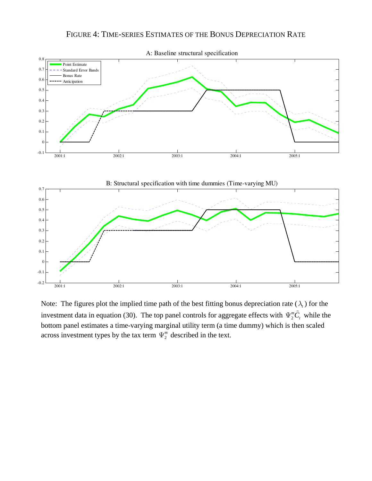



Note: The figures plot the implied time path of the best fitting bonus depreciation rate  $(\lambda_i)$  for the investment data in equation (30). The top panel controls for aggregate effects with  $\Psi_2^m \tilde{C}_t$  while the bottom panel estimates a time-varying marginal utility term (a time dummy) which is then scaled across investment types by the tax term  $\Psi_2^m$  described in the text.